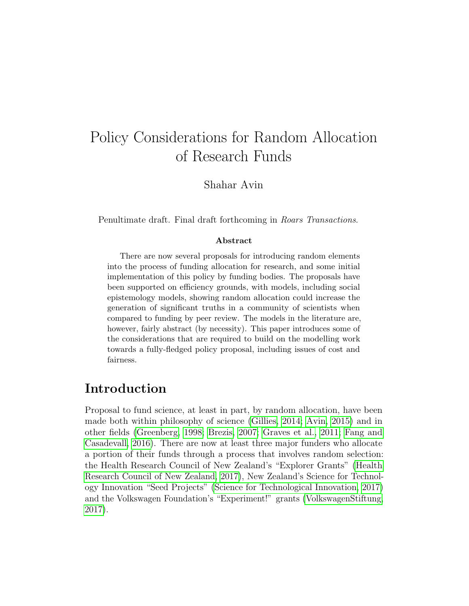# Policy Considerations for Random Allocation of Research Funds

Shahar Avin

Penultimate draft. Final draft forthcoming in *Roars Transactions*.

#### Abstract

There are now several proposals for introducing random elements into the process of funding allocation for research, and some initial implementation of this policy by funding bodies. The proposals have been supported on efficiency grounds, with models, including social epistemology models, showing random allocation could increase the generation of significant truths in a community of scientists when compared to funding by peer review. The models in the literature are, however, fairly abstract (by necessity). This paper introduces some of the considerations that are required to build on the modelling work towards a fully-fledged policy proposal, including issues of cost and fairness.

# Introduction

Proposal to fund science, at least in part, by random allocation, have been made both within philosophy of science [\(Gillies, 2014;](#page-36-0) [Avin, 2015\)](#page-34-0) and in other fields [\(Greenberg, 1998;](#page-36-1) [Brezis, 2007;](#page-34-1) [Graves et al., 2011;](#page-36-2) [Fang and](#page-35-0) [Casadevall, 2016\)](#page-35-0). There are now at least three major funders who allocate a portion of their funds through a process that involves random selection: the Health Research Council of New Zealand's "Explorer Grants" [\(Health](#page-36-3) [Research Council of New Zealand, 2017\)](#page-36-3), New Zealand's Science for Technology Innovation "Seed Projects" [\(Science for Technological Innovation, 2017\)](#page-37-0) and the Volkswagen Foundation's "Experiment!" grants [\(VolkswagenStiftung,](#page-38-0) [2017\)](#page-38-0).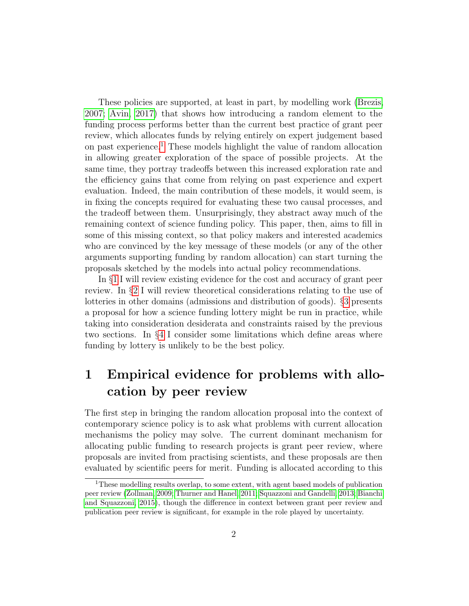These policies are supported, at least in part, by modelling work [\(Brezis,](#page-34-1) [2007;](#page-34-1) [Avin, 2017\)](#page-34-2) that shows how introducing a random element to the funding process performs better than the current best practice of grant peer review, which allocates funds by relying entirely on expert judgement based on past experience.[1](#page-1-0) These models highlight the value of random allocation in allowing greater exploration of the space of possible projects. At the same time, they portray tradeoffs between this increased exploration rate and the efficiency gains that come from relying on past experience and expert evaluation. Indeed, the main contribution of these models, it would seem, is in fixing the concepts required for evaluating these two causal processes, and the tradeoff between them. Unsurprisingly, they abstract away much of the remaining context of science funding policy. This paper, then, aims to fill in some of this missing context, so that policy makers and interested academics who are convinced by the key message of these models (or any of the other arguments supporting funding by random allocation) can start turning the proposals sketched by the models into actual policy recommendations.

In §[1](#page-1-1) I will review existing evidence for the cost and accuracy of grant peer review. In §[2](#page-10-0) I will review theoretical considerations relating to the use of lotteries in other domains (admissions and distribution of goods). §[3](#page-24-0) presents a proposal for how a science funding lottery might be run in practice, while taking into consideration desiderata and constraints raised by the previous two sections. In §[4](#page-30-0) I consider some limitations which define areas where funding by lottery is unlikely to be the best policy.

# <span id="page-1-1"></span>1 Empirical evidence for problems with allocation by peer review

The first step in bringing the random allocation proposal into the context of contemporary science policy is to ask what problems with current allocation mechanisms the policy may solve. The current dominant mechanism for allocating public funding to research projects is grant peer review, where proposals are invited from practising scientists, and these proposals are then evaluated by scientific peers for merit. Funding is allocated according to this

<span id="page-1-0"></span><sup>&</sup>lt;sup>1</sup>These modelling results overlap, to some extent, with agent based models of publication peer review [\(Zollman, 2009;](#page-38-1) [Thurner and Hanel, 2011;](#page-38-2) [Squazzoni and Gandelli, 2013;](#page-37-1) [Bianchi](#page-34-3) [and Squazzoni, 2015\)](#page-34-3), though the difference in context between grant peer review and publication peer review is significant, for example in the role played by uncertainty.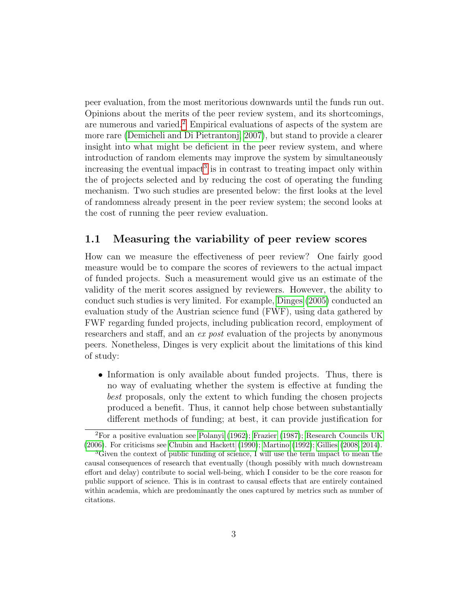peer evaluation, from the most meritorious downwards until the funds run out. Opinions about the merits of the peer review system, and its shortcomings, are numerous and varied.[2](#page-2-0) Empirical evaluations of aspects of the system are more rare [\(Demicheli and Di Pietrantonj, 2007\)](#page-35-1), but stand to provide a clearer insight into what might be deficient in the peer review system, and where introduction of random elements may improve the system by simultaneously increasing the eventual impact<sup>[3](#page-2-1)</sup> is in contrast to treating impact only within the of projects selected and by reducing the cost of operating the funding mechanism. Two such studies are presented below: the first looks at the level of randomness already present in the peer review system; the second looks at the cost of running the peer review evaluation.

### <span id="page-2-2"></span>1.1 Measuring the variability of peer review scores

How can we measure the effectiveness of peer review? One fairly good measure would be to compare the scores of reviewers to the actual impact of funded projects. Such a measurement would give us an estimate of the validity of the merit scores assigned by reviewers. However, the ability to conduct such studies is very limited. For example, [Dinges](#page-35-2) [\(2005\)](#page-35-2) conducted an evaluation study of the Austrian science fund (FWF), using data gathered by FWF regarding funded projects, including publication record, employment of researchers and staff, and an ex post evaluation of the projects by anonymous peers. Nonetheless, Dinges is very explicit about the limitations of this kind of study:

• Information is only available about funded projects. Thus, there is no way of evaluating whether the system is effective at funding the best proposals, only the extent to which funding the chosen projects produced a benefit. Thus, it cannot help chose between substantially different methods of funding; at best, it can provide justification for

<span id="page-2-0"></span><sup>2</sup>For a positive evaluation see [Polanyi](#page-37-2) [\(1962\)](#page-37-2); [Frazier](#page-35-3) [\(1987\)](#page-35-3); [Research Councils UK](#page-37-3) [\(2006\)](#page-37-3). For criticisms see [Chubin and Hackett](#page-35-4) [\(1990\)](#page-35-4); [Martino](#page-37-4) [\(1992\)](#page-37-4); [Gillies](#page-36-4) [\(2008,](#page-36-4) [2014\)](#page-36-0).

<span id="page-2-1"></span><sup>&</sup>lt;sup>3</sup>Given the context of public funding of science, I will use the term impact to mean the causal consequences of research that eventually (though possibly with much downstream effort and delay) contribute to social well-being, which I consider to be the core reason for public support of science. This is in contrast to causal effects that are entirely contained within academia, which are predominantly the ones captured by metrics such as number of citations.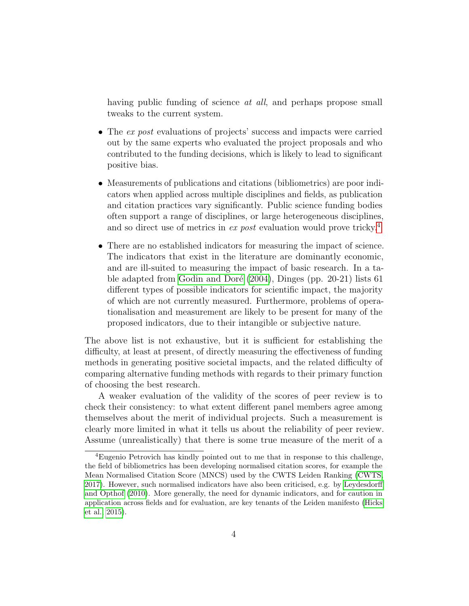having public funding of science *at all*, and perhaps propose small tweaks to the current system.

- The ex post evaluations of projects' success and impacts were carried out by the same experts who evaluated the project proposals and who contributed to the funding decisions, which is likely to lead to significant positive bias.
- Measurements of publications and citations (bibliometrics) are poor indicators when applied across multiple disciplines and fields, as publication and citation practices vary significantly. Public science funding bodies often support a range of disciplines, or large heterogeneous disciplines, and so direct use of metrics in ex post evaluation would prove tricky.<sup>[4](#page-3-0)</sup>
- There are no established indicators for measuring the impact of science. The indicators that exist in the literature are dominantly economic, and are ill-suited to measuring the impact of basic research. In a table adapted from Godin and Doré  $(2004)$ , Dinges (pp. 20-21) lists 61 different types of possible indicators for scientific impact, the majority of which are not currently measured. Furthermore, problems of operationalisation and measurement are likely to be present for many of the proposed indicators, due to their intangible or subjective nature.

The above list is not exhaustive, but it is sufficient for establishing the difficulty, at least at present, of directly measuring the effectiveness of funding methods in generating positive societal impacts, and the related difficulty of comparing alternative funding methods with regards to their primary function of choosing the best research.

A weaker evaluation of the validity of the scores of peer review is to check their consistency: to what extent different panel members agree among themselves about the merit of individual projects. Such a measurement is clearly more limited in what it tells us about the reliability of peer review. Assume (unrealistically) that there is some true measure of the merit of a

<span id="page-3-0"></span><sup>4</sup>Eugenio Petrovich has kindly pointed out to me that in response to this challenge, the field of bibliometrics has been developing normalised citation scores, for example the Mean Normalised Citation Score (MNCS) used by the CWTS Leiden Ranking [\(CWTS,](#page-35-5) [2017\)](#page-35-5). However, such normalised indicators have also been criticised, e.g. by [Leydesdorff](#page-37-5) [and Opthof](#page-37-5) [\(2010\)](#page-37-5). More generally, the need for dynamic indicators, and for caution in application across fields and for evaluation, are key tenants of the Leiden manifesto [\(Hicks](#page-36-6) [et al., 2015\)](#page-36-6).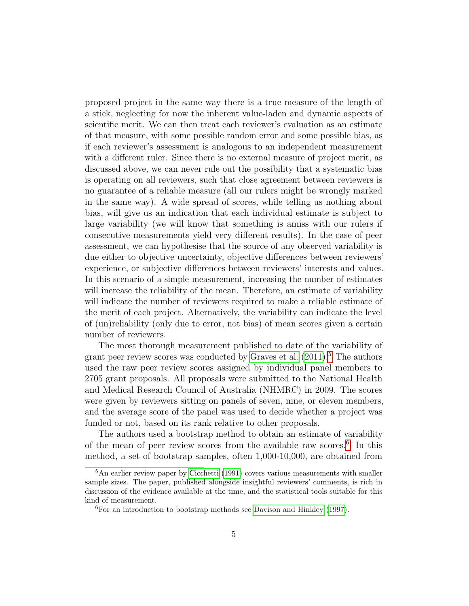proposed project in the same way there is a true measure of the length of a stick, neglecting for now the inherent value-laden and dynamic aspects of scientific merit. We can then treat each reviewer's evaluation as an estimate of that measure, with some possible random error and some possible bias, as if each reviewer's assessment is analogous to an independent measurement with a different ruler. Since there is no external measure of project merit, as discussed above, we can never rule out the possibility that a systematic bias is operating on all reviewers, such that close agreement between reviewers is no guarantee of a reliable measure (all our rulers might be wrongly marked in the same way). A wide spread of scores, while telling us nothing about bias, will give us an indication that each individual estimate is subject to large variability (we will know that something is amiss with our rulers if consecutive measurements yield very different results). In the case of peer assessment, we can hypothesise that the source of any observed variability is due either to objective uncertainty, objective differences between reviewers' experience, or subjective differences between reviewers' interests and values. In this scenario of a simple measurement, increasing the number of estimates will increase the reliability of the mean. Therefore, an estimate of variability will indicate the number of reviewers required to make a reliable estimate of the merit of each project. Alternatively, the variability can indicate the level of (un)reliability (only due to error, not bias) of mean scores given a certain number of reviewers.

The most thorough measurement published to date of the variability of grant peer review scores was conducted by [Graves et al.](#page-36-2)  $(2011).<sup>5</sup>$  $(2011).<sup>5</sup>$  $(2011).<sup>5</sup>$  $(2011).<sup>5</sup>$  The authors used the raw peer review scores assigned by individual panel members to 2705 grant proposals. All proposals were submitted to the National Health and Medical Research Council of Australia (NHMRC) in 2009. The scores were given by reviewers sitting on panels of seven, nine, or eleven members, and the average score of the panel was used to decide whether a project was funded or not, based on its rank relative to other proposals.

The authors used a bootstrap method to obtain an estimate of variability of the mean of peer review scores from the available raw scores.[6](#page-4-1) In this method, a set of bootstrap samples, often 1,000-10,000, are obtained from

<span id="page-4-0"></span><sup>&</sup>lt;sup>5</sup>An earlier review paper by [Cicchetti](#page-35-6) [\(1991\)](#page-35-6) covers various measurements with smaller sample sizes. The paper, published alongside insightful reviewers' comments, is rich in discussion of the evidence available at the time, and the statistical tools suitable for this kind of measurement.

<span id="page-4-1"></span> ${}^{6}$ For an introduction to bootstrap methods see [Davison and Hinkley](#page-35-7) [\(1997\)](#page-35-7).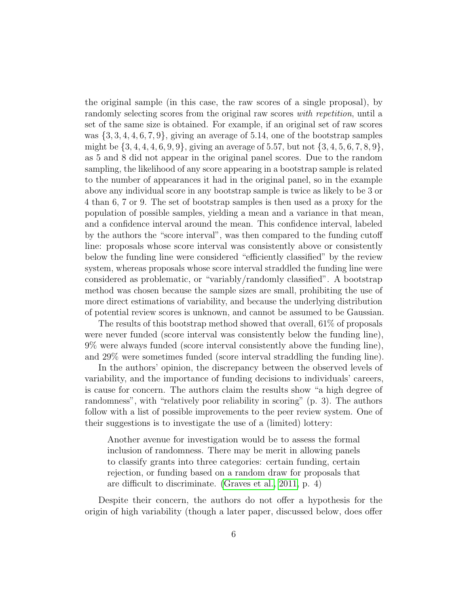the original sample (in this case, the raw scores of a single proposal), by randomly selecting scores from the original raw scores *with repetition*, until a set of the same size is obtained. For example, if an original set of raw scores was  $\{3, 3, 4, 4, 6, 7, 9\}$ , giving an average of 5.14, one of the bootstrap samples might be  $\{3, 4, 4, 4, 6, 9, 9\}$ , giving an average of 5.57, but not  $\{3, 4, 5, 6, 7, 8, 9\}$ , as 5 and 8 did not appear in the original panel scores. Due to the random sampling, the likelihood of any score appearing in a bootstrap sample is related to the number of appearances it had in the original panel, so in the example above any individual score in any bootstrap sample is twice as likely to be 3 or 4 than 6, 7 or 9. The set of bootstrap samples is then used as a proxy for the population of possible samples, yielding a mean and a variance in that mean, and a confidence interval around the mean. This confidence interval, labeled by the authors the "score interval", was then compared to the funding cutoff line: proposals whose score interval was consistently above or consistently below the funding line were considered "efficiently classified" by the review system, whereas proposals whose score interval straddled the funding line were considered as problematic, or "variably/randomly classified". A bootstrap method was chosen because the sample sizes are small, prohibiting the use of more direct estimations of variability, and because the underlying distribution of potential review scores is unknown, and cannot be assumed to be Gaussian.

The results of this bootstrap method showed that overall, 61% of proposals were never funded (score interval was consistently below the funding line), 9% were always funded (score interval consistently above the funding line), and 29% were sometimes funded (score interval straddling the funding line).

In the authors' opinion, the discrepancy between the observed levels of variability, and the importance of funding decisions to individuals' careers, is cause for concern. The authors claim the results show "a high degree of randomness", with "relatively poor reliability in scoring" (p. 3). The authors follow with a list of possible improvements to the peer review system. One of their suggestions is to investigate the use of a (limited) lottery:

Another avenue for investigation would be to assess the formal inclusion of randomness. There may be merit in allowing panels to classify grants into three categories: certain funding, certain rejection, or funding based on a random draw for proposals that are difficult to discriminate. [\(Graves et al., 2011,](#page-36-2) p. 4)

Despite their concern, the authors do not offer a hypothesis for the origin of high variability (though a later paper, discussed below, does offer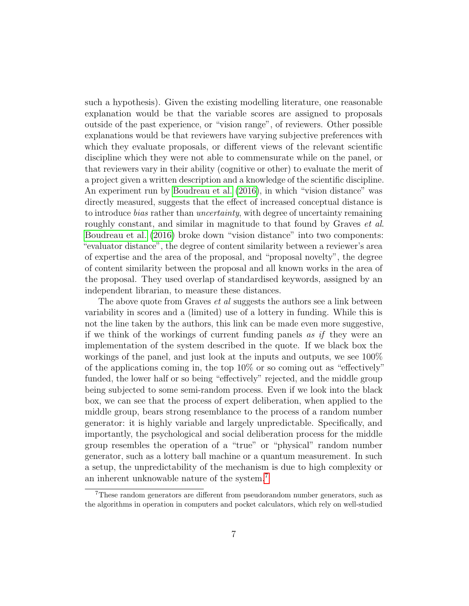such a hypothesis). Given the existing modelling literature, one reasonable explanation would be that the variable scores are assigned to proposals outside of the past experience, or "vision range", of reviewers. Other possible explanations would be that reviewers have varying subjective preferences with which they evaluate proposals, or different views of the relevant scientific discipline which they were not able to commensurate while on the panel, or that reviewers vary in their ability (cognitive or other) to evaluate the merit of a project given a written description and a knowledge of the scientific discipline. An experiment run by [Boudreau et al.](#page-34-4) [\(2016\)](#page-34-4), in which "vision distance" was directly measured, suggests that the effect of increased conceptual distance is to introduce bias rather than uncertainty, with degree of uncertainty remaining roughly constant, and similar in magnitude to that found by Graves *et al.* [Boudreau et al.](#page-34-4) [\(2016\)](#page-34-4) broke down "vision distance" into two components: "evaluator distance", the degree of content similarity between a reviewer's area of expertise and the area of the proposal, and "proposal novelty", the degree of content similarity between the proposal and all known works in the area of the proposal. They used overlap of standardised keywords, assigned by an independent librarian, to measure these distances.

The above quote from Graves *et al* suggests the authors see a link between variability in scores and a (limited) use of a lottery in funding. While this is not the line taken by the authors, this link can be made even more suggestive, if we think of the workings of current funding panels as if they were an implementation of the system described in the quote. If we black box the workings of the panel, and just look at the inputs and outputs, we see 100% of the applications coming in, the top 10% or so coming out as "effectively" funded, the lower half or so being "effectively" rejected, and the middle group being subjected to some semi-random process. Even if we look into the black box, we can see that the process of expert deliberation, when applied to the middle group, bears strong resemblance to the process of a random number generator: it is highly variable and largely unpredictable. Specifically, and importantly, the psychological and social deliberation process for the middle group resembles the operation of a "true" or "physical" random number generator, such as a lottery ball machine or a quantum measurement. In such a setup, the unpredictability of the mechanism is due to high complexity or an inherent unknowable nature of the system.[7](#page-6-0)

<span id="page-6-0"></span><sup>7</sup>These random generators are different from pseudorandom number generators, such as the algorithms in operation in computers and pocket calculators, which rely on well-studied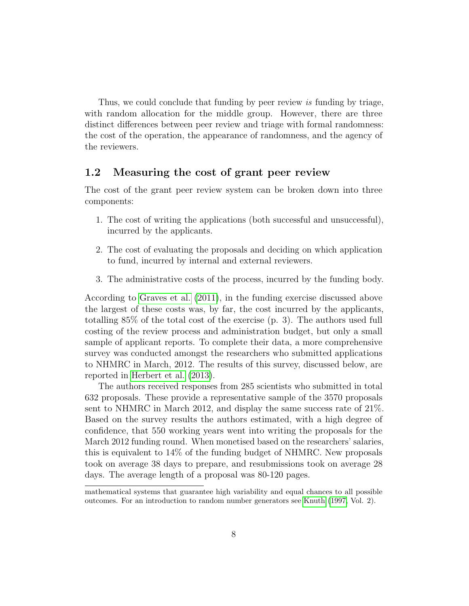Thus, we could conclude that funding by peer review is funding by triage, with random allocation for the middle group. However, there are three distinct differences between peer review and triage with formal randomness: the cost of the operation, the appearance of randomness, and the agency of the reviewers.

### 1.2 Measuring the cost of grant peer review

The cost of the grant peer review system can be broken down into three components:

- 1. The cost of writing the applications (both successful and unsuccessful), incurred by the applicants.
- 2. The cost of evaluating the proposals and deciding on which application to fund, incurred by internal and external reviewers.
- 3. The administrative costs of the process, incurred by the funding body.

According to [Graves et al.](#page-36-2) [\(2011\)](#page-36-2), in the funding exercise discussed above the largest of these costs was, by far, the cost incurred by the applicants, totalling 85% of the total cost of the exercise (p. 3). The authors used full costing of the review process and administration budget, but only a small sample of applicant reports. To complete their data, a more comprehensive survey was conducted amongst the researchers who submitted applications to NHMRC in March, 2012. The results of this survey, discussed below, are reported in [Herbert et al.](#page-36-7) [\(2013\)](#page-36-7).

The authors received responses from 285 scientists who submitted in total 632 proposals. These provide a representative sample of the 3570 proposals sent to NHMRC in March 2012, and display the same success rate of 21%. Based on the survey results the authors estimated, with a high degree of confidence, that 550 working years went into writing the proposals for the March 2012 funding round. When monetised based on the researchers' salaries, this is equivalent to 14% of the funding budget of NHMRC. New proposals took on average 38 days to prepare, and resubmissions took on average 28 days. The average length of a proposal was 80-120 pages.

mathematical systems that guarantee high variability and equal chances to all possible outcomes. For an introduction to random number generators see [Knuth](#page-37-6) [\(1997,](#page-37-6) Vol. 2).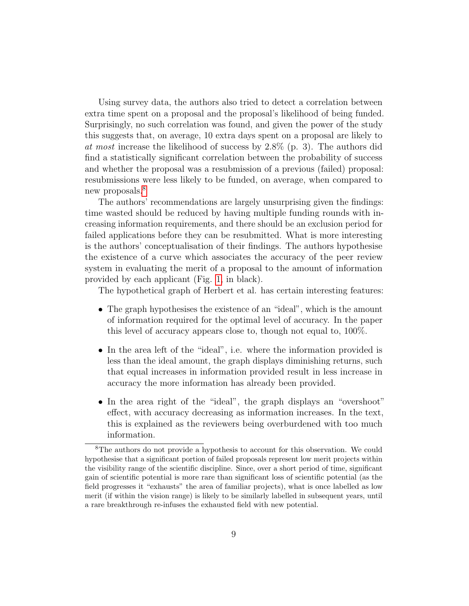Using survey data, the authors also tried to detect a correlation between extra time spent on a proposal and the proposal's likelihood of being funded. Surprisingly, no such correlation was found, and given the power of the study this suggests that, on average, 10 extra days spent on a proposal are likely to at most increase the likelihood of success by 2.8% (p. 3). The authors did find a statistically significant correlation between the probability of success and whether the proposal was a resubmission of a previous (failed) proposal: resubmissions were less likely to be funded, on average, when compared to new proposals.<sup>[8](#page-8-0)</sup>

The authors' recommendations are largely unsurprising given the findings: time wasted should be reduced by having multiple funding rounds with increasing information requirements, and there should be an exclusion period for failed applications before they can be resubmitted. What is more interesting is the authors' conceptualisation of their findings. The authors hypothesise the existence of a curve which associates the accuracy of the peer review system in evaluating the merit of a proposal to the amount of information provided by each applicant (Fig. [1,](#page-9-0) in black).

The hypothetical graph of Herbert et al. has certain interesting features:

- The graph hypothesises the existence of an "ideal", which is the amount of information required for the optimal level of accuracy. In the paper this level of accuracy appears close to, though not equal to, 100%.
- In the area left of the "ideal", i.e. where the information provided is less than the ideal amount, the graph displays diminishing returns, such that equal increases in information provided result in less increase in accuracy the more information has already been provided.
- In the area right of the "ideal", the graph displays an "overshoot" effect, with accuracy decreasing as information increases. In the text, this is explained as the reviewers being overburdened with too much information.

<span id="page-8-0"></span><sup>8</sup>The authors do not provide a hypothesis to account for this observation. We could hypothesise that a significant portion of failed proposals represent low merit projects within the visibility range of the scientific discipline. Since, over a short period of time, significant gain of scientific potential is more rare than significant loss of scientific potential (as the field progresses it "exhausts" the area of familiar projects), what is once labelled as low merit (if within the vision range) is likely to be similarly labelled in subsequent years, until a rare breakthrough re-infuses the exhausted field with new potential.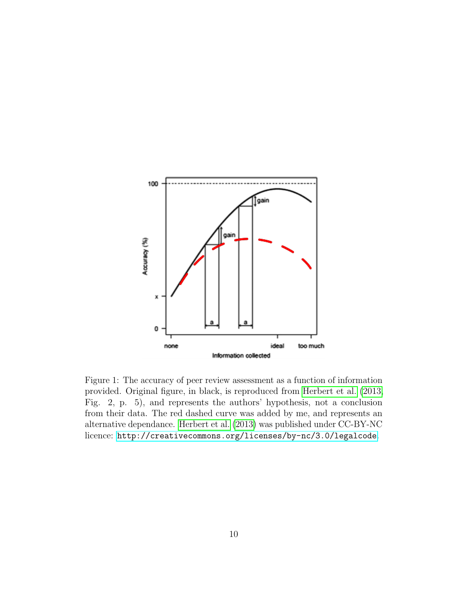

<span id="page-9-0"></span>Figure 1: The accuracy of peer review assessment as a function of information provided. Original figure, in black, is reproduced from [Herbert et al.](#page-36-7) [\(2013,](#page-36-7) Fig. 2, p. 5), and represents the authors' hypothesis, not a conclusion from their data. The red dashed curve was added by me, and represents an alternative dependance. [Herbert et al.](#page-36-7) [\(2013\)](#page-36-7) was published under CC-BY-NC licence: <http://creativecommons.org/licenses/by-nc/3.0/legalcode>.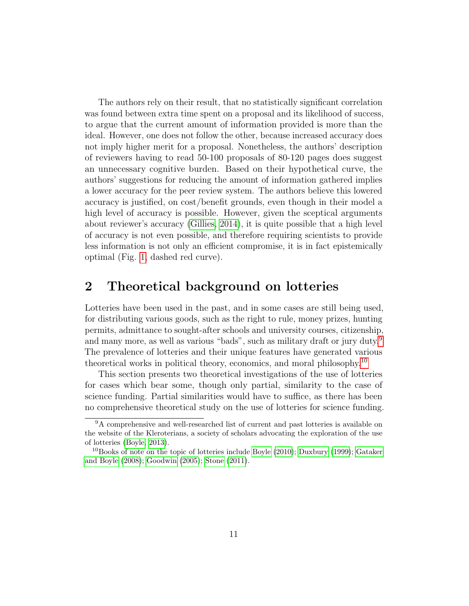The authors rely on their result, that no statistically significant correlation was found between extra time spent on a proposal and its likelihood of success, to argue that the current amount of information provided is more than the ideal. However, one does not follow the other, because increased accuracy does not imply higher merit for a proposal. Nonetheless, the authors' description of reviewers having to read 50-100 proposals of 80-120 pages does suggest an unnecessary cognitive burden. Based on their hypothetical curve, the authors' suggestions for reducing the amount of information gathered implies a lower accuracy for the peer review system. The authors believe this lowered accuracy is justified, on cost/benefit grounds, even though in their model a high level of accuracy is possible. However, given the sceptical arguments about reviewer's accuracy [\(Gillies, 2014\)](#page-36-0), it is quite possible that a high level of accuracy is not even possible, and therefore requiring scientists to provide less information is not only an efficient compromise, it is in fact epistemically optimal (Fig. [1,](#page-9-0) dashed red curve).

# <span id="page-10-0"></span>2 Theoretical background on lotteries

Lotteries have been used in the past, and in some cases are still being used, for distributing various goods, such as the right to rule, money prizes, hunting permits, admittance to sought-after schools and university courses, citizenship, and many more, as well as various "bads", such as military draft or jury duty.<sup>[9](#page-10-1)</sup> The prevalence of lotteries and their unique features have generated various theoretical works in political theory, economics, and moral philosophy.[10](#page-10-2)

This section presents two theoretical investigations of the use of lotteries for cases which bear some, though only partial, similarity to the case of science funding. Partial similarities would have to suffice, as there has been no comprehensive theoretical study on the use of lotteries for science funding.

<span id="page-10-1"></span><sup>&</sup>lt;sup>9</sup>A comprehensive and well-researched list of current and past lotteries is available on the website of the Kleroterians, a society of scholars advocating the exploration of the use of lotteries [\(Boyle, 2013\)](#page-34-5).

<span id="page-10-2"></span><sup>&</sup>lt;sup>10</sup>Books of note on the topic of lotteries include [Boyle](#page-34-6) [\(2010\)](#page-34-6); [Duxbury](#page-35-8) [\(1999\)](#page-35-8); [Gataker](#page-36-8) [and Boyle](#page-36-8) [\(2008\)](#page-36-8); [Goodwin](#page-36-9) [\(2005\)](#page-36-9); [Stone](#page-37-7) [\(2011\)](#page-37-7).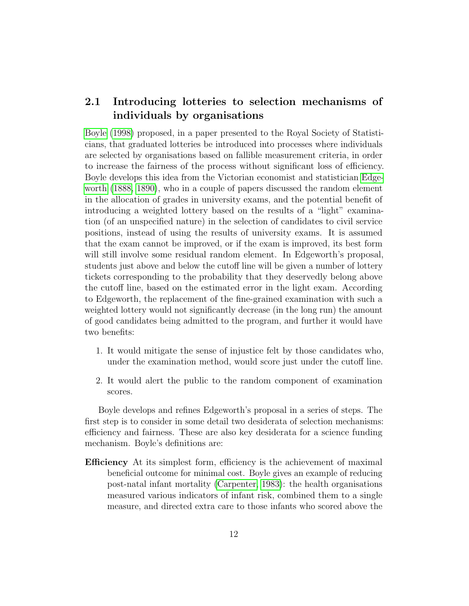## 2.1 Introducing lotteries to selection mechanisms of individuals by organisations

[Boyle](#page-34-7) [\(1998\)](#page-34-7) proposed, in a paper presented to the Royal Society of Statisticians, that graduated lotteries be introduced into processes where individuals are selected by organisations based on fallible measurement criteria, in order to increase the fairness of the process without significant loss of efficiency. Boyle develops this idea from the Victorian economist and statistician [Edge](#page-35-9)[worth](#page-35-9) [\(1888,](#page-35-9) [1890\)](#page-35-10), who in a couple of papers discussed the random element in the allocation of grades in university exams, and the potential benefit of introducing a weighted lottery based on the results of a "light" examination (of an unspecified nature) in the selection of candidates to civil service positions, instead of using the results of university exams. It is assumed that the exam cannot be improved, or if the exam is improved, its best form will still involve some residual random element. In Edgeworth's proposal, students just above and below the cutoff line will be given a number of lottery tickets corresponding to the probability that they deservedly belong above the cutoff line, based on the estimated error in the light exam. According to Edgeworth, the replacement of the fine-grained examination with such a weighted lottery would not significantly decrease (in the long run) the amount of good candidates being admitted to the program, and further it would have two benefits:

- 1. It would mitigate the sense of injustice felt by those candidates who, under the examination method, would score just under the cutoff line.
- 2. It would alert the public to the random component of examination scores.

Boyle develops and refines Edgeworth's proposal in a series of steps. The first step is to consider in some detail two desiderata of selection mechanisms: efficiency and fairness. These are also key desiderata for a science funding mechanism. Boyle's definitions are:

Efficiency At its simplest form, efficiency is the achievement of maximal beneficial outcome for minimal cost. Boyle gives an example of reducing post-natal infant mortality [\(Carpenter, 1983\)](#page-34-8): the health organisations measured various indicators of infant risk, combined them to a single measure, and directed extra care to those infants who scored above the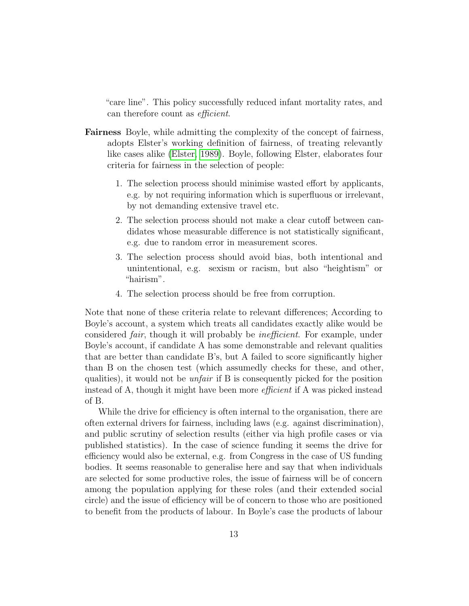"care line". This policy successfully reduced infant mortality rates, and can therefore count as efficient.

- Fairness Boyle, while admitting the complexity of the concept of fairness, adopts Elster's working definition of fairness, of treating relevantly like cases alike [\(Elster, 1989\)](#page-35-11). Boyle, following Elster, elaborates four criteria for fairness in the selection of people:
	- 1. The selection process should minimise wasted effort by applicants, e.g. by not requiring information which is superfluous or irrelevant, by not demanding extensive travel etc.
	- 2. The selection process should not make a clear cutoff between candidates whose measurable difference is not statistically significant, e.g. due to random error in measurement scores.
	- 3. The selection process should avoid bias, both intentional and unintentional, e.g. sexism or racism, but also "heightism" or "hairism".
	- 4. The selection process should be free from corruption.

Note that none of these criteria relate to relevant differences; According to Boyle's account, a system which treats all candidates exactly alike would be considered fair, though it will probably be inefficient. For example, under Boyle's account, if candidate A has some demonstrable and relevant qualities that are better than candidate B's, but A failed to score significantly higher than B on the chosen test (which assumedly checks for these, and other, qualities), it would not be unfair if B is consequently picked for the position instead of A, though it might have been more *efficient* if A was picked instead of B.

While the drive for efficiency is often internal to the organisation, there are often external drivers for fairness, including laws (e.g. against discrimination), and public scrutiny of selection results (either via high profile cases or via published statistics). In the case of science funding it seems the drive for efficiency would also be external, e.g. from Congress in the case of US funding bodies. It seems reasonable to generalise here and say that when individuals are selected for some productive roles, the issue of fairness will be of concern among the population applying for these roles (and their extended social circle) and the issue of efficiency will be of concern to those who are positioned to benefit from the products of labour. In Boyle's case the products of labour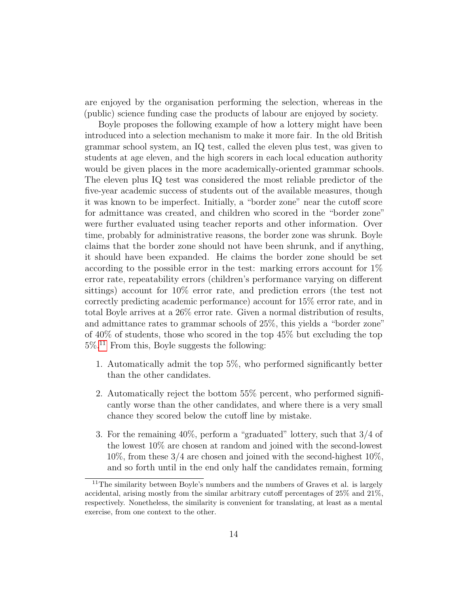are enjoyed by the organisation performing the selection, whereas in the (public) science funding case the products of labour are enjoyed by society.

Boyle proposes the following example of how a lottery might have been introduced into a selection mechanism to make it more fair. In the old British grammar school system, an IQ test, called the eleven plus test, was given to students at age eleven, and the high scorers in each local education authority would be given places in the more academically-oriented grammar schools. The eleven plus IQ test was considered the most reliable predictor of the five-year academic success of students out of the available measures, though it was known to be imperfect. Initially, a "border zone" near the cutoff score for admittance was created, and children who scored in the "border zone" were further evaluated using teacher reports and other information. Over time, probably for administrative reasons, the border zone was shrunk. Boyle claims that the border zone should not have been shrunk, and if anything, it should have been expanded. He claims the border zone should be set according to the possible error in the test: marking errors account for 1% error rate, repeatability errors (children's performance varying on different sittings) account for 10% error rate, and prediction errors (the test not correctly predicting academic performance) account for 15% error rate, and in total Boyle arrives at a 26% error rate. Given a normal distribution of results, and admittance rates to grammar schools of 25%, this yields a "border zone" of 40% of students, those who scored in the top 45% but excluding the top  $5\%$ <sup>[11](#page-13-0)</sup> From this, Boyle suggests the following:

- 1. Automatically admit the top 5%, who performed significantly better than the other candidates.
- 2. Automatically reject the bottom 55% percent, who performed significantly worse than the other candidates, and where there is a very small chance they scored below the cutoff line by mistake.
- 3. For the remaining 40%, perform a "graduated" lottery, such that 3/4 of the lowest 10% are chosen at random and joined with the second-lowest 10%, from these 3/4 are chosen and joined with the second-highest 10%, and so forth until in the end only half the candidates remain, forming

<span id="page-13-0"></span> $11$ The similarity between Boyle's numbers and the numbers of Graves et al. is largely accidental, arising mostly from the similar arbitrary cutoff percentages of 25% and 21%, respectively. Nonetheless, the similarity is convenient for translating, at least as a mental exercise, from one context to the other.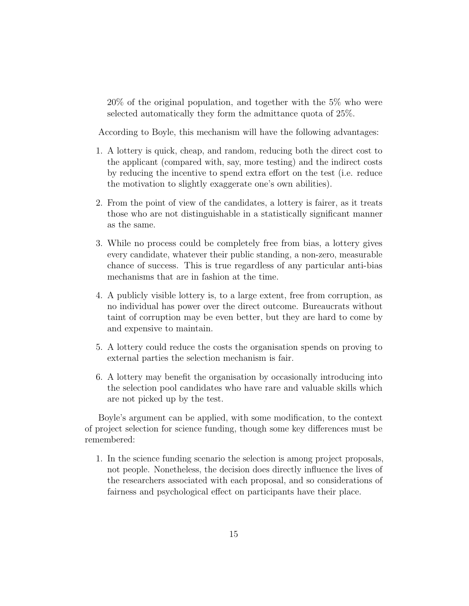20% of the original population, and together with the 5% who were selected automatically they form the admittance quota of 25%.

According to Boyle, this mechanism will have the following advantages:

- 1. A lottery is quick, cheap, and random, reducing both the direct cost to the applicant (compared with, say, more testing) and the indirect costs by reducing the incentive to spend extra effort on the test (i.e. reduce the motivation to slightly exaggerate one's own abilities).
- 2. From the point of view of the candidates, a lottery is fairer, as it treats those who are not distinguishable in a statistically significant manner as the same.
- 3. While no process could be completely free from bias, a lottery gives every candidate, whatever their public standing, a non-zero, measurable chance of success. This is true regardless of any particular anti-bias mechanisms that are in fashion at the time.
- 4. A publicly visible lottery is, to a large extent, free from corruption, as no individual has power over the direct outcome. Bureaucrats without taint of corruption may be even better, but they are hard to come by and expensive to maintain.
- 5. A lottery could reduce the costs the organisation spends on proving to external parties the selection mechanism is fair.
- 6. A lottery may benefit the organisation by occasionally introducing into the selection pool candidates who have rare and valuable skills which are not picked up by the test.

Boyle's argument can be applied, with some modification, to the context of project selection for science funding, though some key differences must be remembered:

1. In the science funding scenario the selection is among project proposals, not people. Nonetheless, the decision does directly influence the lives of the researchers associated with each proposal, and so considerations of fairness and psychological effect on participants have their place.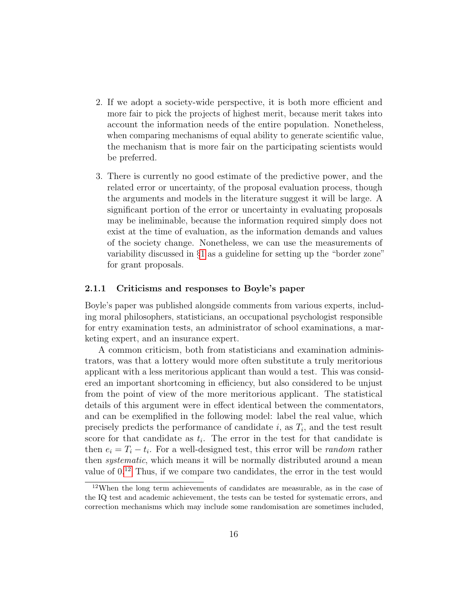- 2. If we adopt a society-wide perspective, it is both more efficient and more fair to pick the projects of highest merit, because merit takes into account the information needs of the entire population. Nonetheless, when comparing mechanisms of equal ability to generate scientific value, the mechanism that is more fair on the participating scientists would be preferred.
- 3. There is currently no good estimate of the predictive power, and the related error or uncertainty, of the proposal evaluation process, though the arguments and models in the literature suggest it will be large. A significant portion of the error or uncertainty in evaluating proposals may be ineliminable, because the information required simply does not exist at the time of evaluation, as the information demands and values of the society change. Nonetheless, we can use the measurements of variability discussed in §[1](#page-1-1) as a guideline for setting up the "border zone" for grant proposals.

### 2.1.1 Criticisms and responses to Boyle's paper

Boyle's paper was published alongside comments from various experts, including moral philosophers, statisticians, an occupational psychologist responsible for entry examination tests, an administrator of school examinations, a marketing expert, and an insurance expert.

A common criticism, both from statisticians and examination administrators, was that a lottery would more often substitute a truly meritorious applicant with a less meritorious applicant than would a test. This was considered an important shortcoming in efficiency, but also considered to be unjust from the point of view of the more meritorious applicant. The statistical details of this argument were in effect identical between the commentators, and can be exemplified in the following model: label the real value, which precisely predicts the performance of candidate  $i$ , as  $T_i$ , and the test result score for that candidate as  $t_i$ . The error in the test for that candidate is then  $e_i = T_i - t_i$ . For a well-designed test, this error will be *random* rather then *systematic*, which means it will be normally distributed around a mean value of 0.[12](#page-15-0) Thus, if we compare two candidates, the error in the test would

<span id="page-15-0"></span><sup>12</sup>When the long term achievements of candidates are measurable, as in the case of the IQ test and academic achievement, the tests can be tested for systematic errors, and correction mechanisms which may include some randomisation are sometimes included,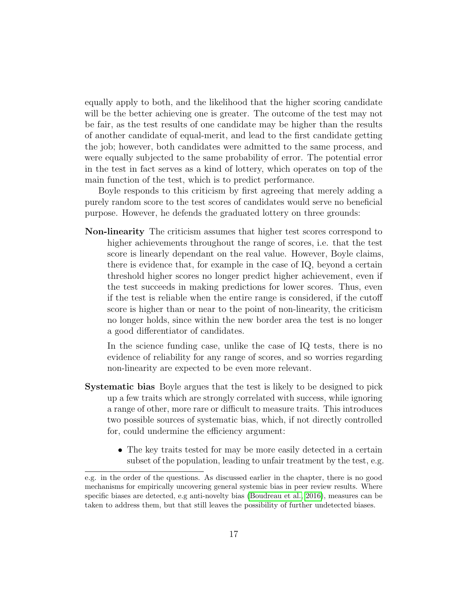equally apply to both, and the likelihood that the higher scoring candidate will be the better achieving one is greater. The outcome of the test may not be fair, as the test results of one candidate may be higher than the results of another candidate of equal-merit, and lead to the first candidate getting the job; however, both candidates were admitted to the same process, and were equally subjected to the same probability of error. The potential error in the test in fact serves as a kind of lottery, which operates on top of the main function of the test, which is to predict performance.

Boyle responds to this criticism by first agreeing that merely adding a purely random score to the test scores of candidates would serve no beneficial purpose. However, he defends the graduated lottery on three grounds:

Non-linearity The criticism assumes that higher test scores correspond to higher achievements throughout the range of scores, i.e. that the test score is linearly dependant on the real value. However, Boyle claims, there is evidence that, for example in the case of IQ, beyond a certain threshold higher scores no longer predict higher achievement, even if the test succeeds in making predictions for lower scores. Thus, even if the test is reliable when the entire range is considered, if the cutoff score is higher than or near to the point of non-linearity, the criticism no longer holds, since within the new border area the test is no longer a good differentiator of candidates.

In the science funding case, unlike the case of IQ tests, there is no evidence of reliability for any range of scores, and so worries regarding non-linearity are expected to be even more relevant.

- Systematic bias Boyle argues that the test is likely to be designed to pick up a few traits which are strongly correlated with success, while ignoring a range of other, more rare or difficult to measure traits. This introduces two possible sources of systematic bias, which, if not directly controlled for, could undermine the efficiency argument:
	- The key traits tested for may be more easily detected in a certain subset of the population, leading to unfair treatment by the test, e.g.

e.g. in the order of the questions. As discussed earlier in the chapter, there is no good mechanisms for empirically uncovering general systemic bias in peer review results. Where specific biases are detected, e.g anti-novelty bias [\(Boudreau et al., 2016\)](#page-34-4), measures can be taken to address them, but that still leaves the possibility of further undetected biases.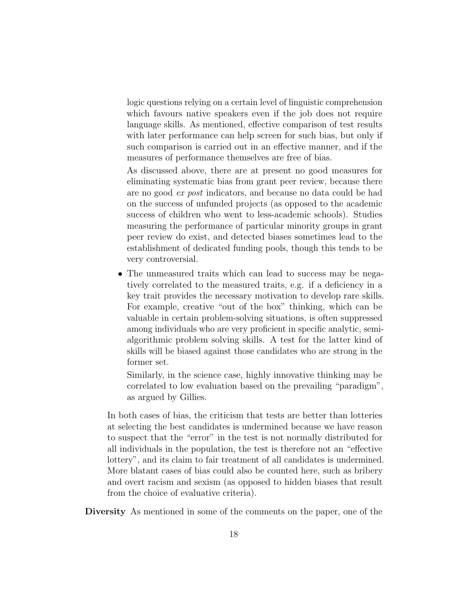logic questions relying on a certain level of linguistic comprehension which favours native speakers even if the job does not require language skills. As mentioned, effective comparison of test results with later performance can help screen for such bias, but only if such comparison is carried out in an effective manner, and if the measures of performance themselves are free of bias.

As discussed above, there are at present no good measures for eliminating systematic bias from grant peer review, because there are no good ex post indicators, and because no data could be had on the success of unfunded projects (as opposed to the academic success of children who went to less-academic schools). Studies measuring the performance of particular minority groups in grant peer review do exist, and detected biases sometimes lead to the establishment of dedicated funding pools, though this tends to be very controversial.

• The unmeasured traits which can lead to success may be negatively correlated to the measured traits, e.g. if a deficiency in a key trait provides the necessary motivation to develop rare skills. For example, creative "out of the box" thinking, which can be valuable in certain problem-solving situations, is often suppressed among individuals who are very proficient in specific analytic, semialgorithmic problem solving skills. A test for the latter kind of skills will be biased against those candidates who are strong in the former set.

Similarly, in the science case, highly innovative thinking may be correlated to low evaluation based on the prevailing "paradigm", as argued by Gillies.

In both cases of bias, the criticism that tests are better than lotteries at selecting the best candidates is undermined because we have reason to suspect that the "error" in the test is not normally distributed for all individuals in the population, the test is therefore not an "effective lottery", and its claim to fair treatment of all candidates is undermined. More blatant cases of bias could also be counted here, such as bribery and overt racism and sexism (as opposed to hidden biases that result from the choice of evaluative criteria).

Diversity As mentioned in some of the comments on the paper, one of the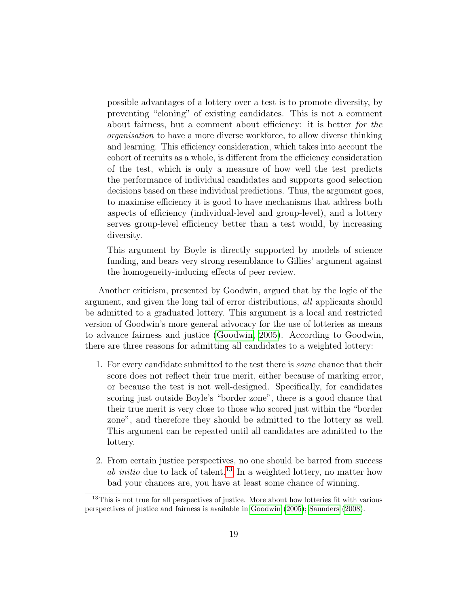possible advantages of a lottery over a test is to promote diversity, by preventing "cloning" of existing candidates. This is not a comment about fairness, but a comment about efficiency: it is better for the organisation to have a more diverse workforce, to allow diverse thinking and learning. This efficiency consideration, which takes into account the cohort of recruits as a whole, is different from the efficiency consideration of the test, which is only a measure of how well the test predicts the performance of individual candidates and supports good selection decisions based on these individual predictions. Thus, the argument goes, to maximise efficiency it is good to have mechanisms that address both aspects of efficiency (individual-level and group-level), and a lottery serves group-level efficiency better than a test would, by increasing diversity.

This argument by Boyle is directly supported by models of science funding, and bears very strong resemblance to Gillies' argument against the homogeneity-inducing effects of peer review.

Another criticism, presented by Goodwin, argued that by the logic of the argument, and given the long tail of error distributions, all applicants should be admitted to a graduated lottery. This argument is a local and restricted version of Goodwin's more general advocacy for the use of lotteries as means to advance fairness and justice [\(Goodwin, 2005\)](#page-36-9). According to Goodwin, there are three reasons for admitting all candidates to a weighted lottery:

- 1. For every candidate submitted to the test there is some chance that their score does not reflect their true merit, either because of marking error, or because the test is not well-designed. Specifically, for candidates scoring just outside Boyle's "border zone", there is a good chance that their true merit is very close to those who scored just within the "border zone", and therefore they should be admitted to the lottery as well. This argument can be repeated until all candidates are admitted to the lottery.
- 2. From certain justice perspectives, no one should be barred from success ab initio due to lack of talent.<sup>[13](#page-18-0)</sup> In a weighted lottery, no matter how bad your chances are, you have at least some chance of winning.

<span id="page-18-0"></span><sup>&</sup>lt;sup>13</sup>This is not true for all perspectives of justice. More about how lotteries fit with various perspectives of justice and fairness is available in [Goodwin](#page-36-9) [\(2005\)](#page-36-9); [Saunders](#page-37-8) [\(2008\)](#page-37-8).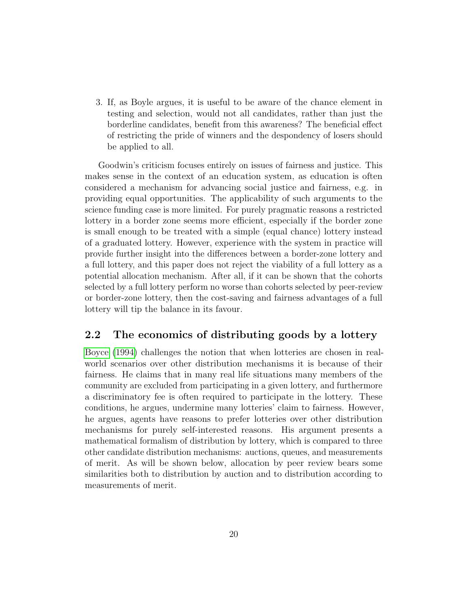3. If, as Boyle argues, it is useful to be aware of the chance element in testing and selection, would not all candidates, rather than just the borderline candidates, benefit from this awareness? The beneficial effect of restricting the pride of winners and the despondency of losers should be applied to all.

Goodwin's criticism focuses entirely on issues of fairness and justice. This makes sense in the context of an education system, as education is often considered a mechanism for advancing social justice and fairness, e.g. in providing equal opportunities. The applicability of such arguments to the science funding case is more limited. For purely pragmatic reasons a restricted lottery in a border zone seems more efficient, especially if the border zone is small enough to be treated with a simple (equal chance) lottery instead of a graduated lottery. However, experience with the system in practice will provide further insight into the differences between a border-zone lottery and a full lottery, and this paper does not reject the viability of a full lottery as a potential allocation mechanism. After all, if it can be shown that the cohorts selected by a full lottery perform no worse than cohorts selected by peer-review or border-zone lottery, then the cost-saving and fairness advantages of a full lottery will tip the balance in its favour.

### 2.2 The economics of distributing goods by a lottery

[Boyce](#page-34-9) [\(1994\)](#page-34-9) challenges the notion that when lotteries are chosen in realworld scenarios over other distribution mechanisms it is because of their fairness. He claims that in many real life situations many members of the community are excluded from participating in a given lottery, and furthermore a discriminatory fee is often required to participate in the lottery. These conditions, he argues, undermine many lotteries' claim to fairness. However, he argues, agents have reasons to prefer lotteries over other distribution mechanisms for purely self-interested reasons. His argument presents a mathematical formalism of distribution by lottery, which is compared to three other candidate distribution mechanisms: auctions, queues, and measurements of merit. As will be shown below, allocation by peer review bears some similarities both to distribution by auction and to distribution according to measurements of merit.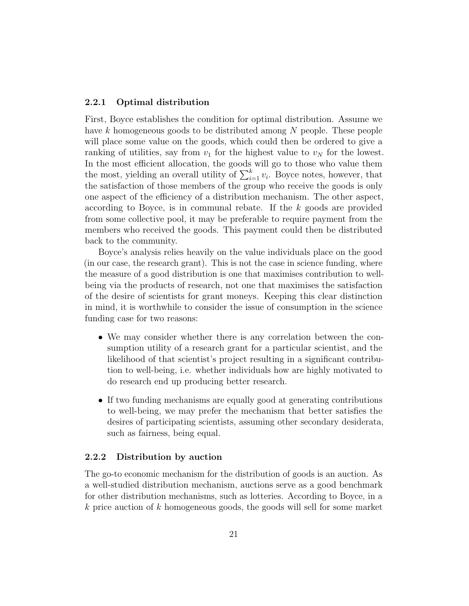### 2.2.1 Optimal distribution

First, Boyce establishes the condition for optimal distribution. Assume we have k homogeneous goods to be distributed among N people. These people will place some value on the goods, which could then be ordered to give a ranking of utilities, say from  $v_1$  for the highest value to  $v_N$  for the lowest. In the most efficient allocation, the goods will go to those who value them the most, yielding an overall utility of  $\sum_{i=1}^{k} v_i$ . Boyce notes, however, that the satisfaction of those members of the group who receive the goods is only one aspect of the efficiency of a distribution mechanism. The other aspect, according to Boyce, is in communal rebate. If the k goods are provided from some collective pool, it may be preferable to require payment from the members who received the goods. This payment could then be distributed back to the community.

Boyce's analysis relies heavily on the value individuals place on the good (in our case, the research grant). This is not the case in science funding, where the measure of a good distribution is one that maximises contribution to wellbeing via the products of research, not one that maximises the satisfaction of the desire of scientists for grant moneys. Keeping this clear distinction in mind, it is worthwhile to consider the issue of consumption in the science funding case for two reasons:

- We may consider whether there is any correlation between the consumption utility of a research grant for a particular scientist, and the likelihood of that scientist's project resulting in a significant contribution to well-being, i.e. whether individuals how are highly motivated to do research end up producing better research.
- If two funding mechanisms are equally good at generating contributions to well-being, we may prefer the mechanism that better satisfies the desires of participating scientists, assuming other secondary desiderata, such as fairness, being equal.

### 2.2.2 Distribution by auction

The go-to economic mechanism for the distribution of goods is an auction. As a well-studied distribution mechanism, auctions serve as a good benchmark for other distribution mechanisms, such as lotteries. According to Boyce, in a k price auction of k homogeneous goods, the goods will sell for some market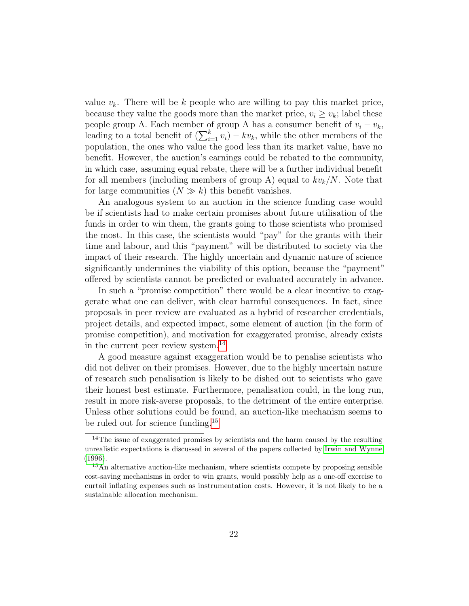value  $v_k$ . There will be k people who are willing to pay this market price, because they value the goods more than the market price,  $v_i \ge v_k$ ; label these people group A. Each member of group A has a consumer benefit of  $v_i - v_k$ , leading to a total benefit of  $(\sum_{i=1}^{k} v_i) - kv_k$ , while the other members of the population, the ones who value the good less than its market value, have no benefit. However, the auction's earnings could be rebated to the community, in which case, assuming equal rebate, there will be a further individual benefit for all members (including members of group A) equal to  $kv_k/N$ . Note that for large communities  $(N \gg k)$  this benefit vanishes.

An analogous system to an auction in the science funding case would be if scientists had to make certain promises about future utilisation of the funds in order to win them, the grants going to those scientists who promised the most. In this case, the scientists would "pay" for the grants with their time and labour, and this "payment" will be distributed to society via the impact of their research. The highly uncertain and dynamic nature of science significantly undermines the viability of this option, because the "payment" offered by scientists cannot be predicted or evaluated accurately in advance.

In such a "promise competition" there would be a clear incentive to exaggerate what one can deliver, with clear harmful consequences. In fact, since proposals in peer review are evaluated as a hybrid of researcher credentials, project details, and expected impact, some element of auction (in the form of promise competition), and motivation for exaggerated promise, already exists in the current peer review system.[14](#page-21-0)

A good measure against exaggeration would be to penalise scientists who did not deliver on their promises. However, due to the highly uncertain nature of research such penalisation is likely to be dished out to scientists who gave their honest best estimate. Furthermore, penalisation could, in the long run, result in more risk-averse proposals, to the detriment of the entire enterprise. Unless other solutions could be found, an auction-like mechanism seems to be ruled out for science funding.[15](#page-21-1)

<span id="page-21-0"></span><sup>&</sup>lt;sup>14</sup>The issue of exaggerated promises by scientists and the harm caused by the resulting unrealistic expectations is discussed in several of the papers collected by [Irwin and Wynne](#page-37-9) [\(1996\)](#page-37-9).

<span id="page-21-1"></span><sup>&</sup>lt;sup>15</sup>An alternative auction-like mechanism, where scientists compete by proposing sensible cost-saving mechanisms in order to win grants, would possibly help as a one-off exercise to curtail inflating expenses such as instrumentation costs. However, it is not likely to be a sustainable allocation mechanism.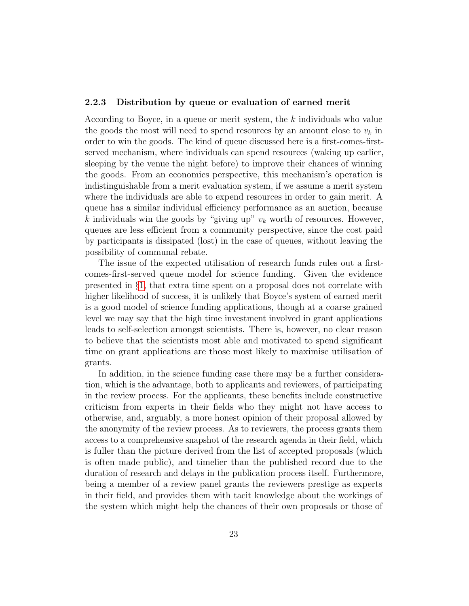#### 2.2.3 Distribution by queue or evaluation of earned merit

According to Boyce, in a queue or merit system, the k individuals who value the goods the most will need to spend resources by an amount close to  $v_k$  in order to win the goods. The kind of queue discussed here is a first-comes-firstserved mechanism, where individuals can spend resources (waking up earlier, sleeping by the venue the night before) to improve their chances of winning the goods. From an economics perspective, this mechanism's operation is indistinguishable from a merit evaluation system, if we assume a merit system where the individuals are able to expend resources in order to gain merit. A queue has a similar individual efficiency performance as an auction, because k individuals win the goods by "giving up"  $v_k$  worth of resources. However, queues are less efficient from a community perspective, since the cost paid by participants is dissipated (lost) in the case of queues, without leaving the possibility of communal rebate.

The issue of the expected utilisation of research funds rules out a firstcomes-first-served queue model for science funding. Given the evidence presented in §[1,](#page-1-1) that extra time spent on a proposal does not correlate with higher likelihood of success, it is unlikely that Boyce's system of earned merit is a good model of science funding applications, though at a coarse grained level we may say that the high time investment involved in grant applications leads to self-selection amongst scientists. There is, however, no clear reason to believe that the scientists most able and motivated to spend significant time on grant applications are those most likely to maximise utilisation of grants.

In addition, in the science funding case there may be a further consideration, which is the advantage, both to applicants and reviewers, of participating in the review process. For the applicants, these benefits include constructive criticism from experts in their fields who they might not have access to otherwise, and, arguably, a more honest opinion of their proposal allowed by the anonymity of the review process. As to reviewers, the process grants them access to a comprehensive snapshot of the research agenda in their field, which is fuller than the picture derived from the list of accepted proposals (which is often made public), and timelier than the published record due to the duration of research and delays in the publication process itself. Furthermore, being a member of a review panel grants the reviewers prestige as experts in their field, and provides them with tacit knowledge about the workings of the system which might help the chances of their own proposals or those of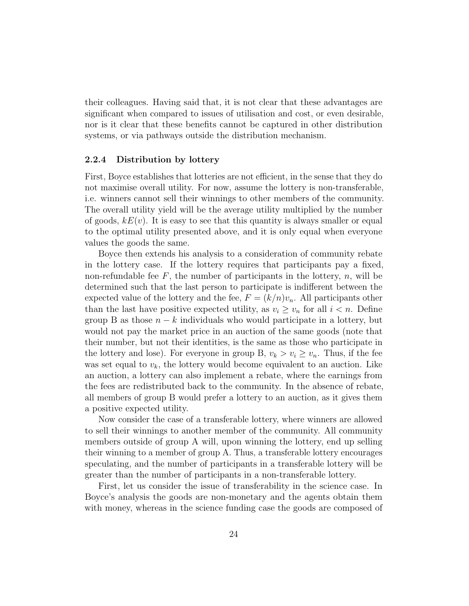their colleagues. Having said that, it is not clear that these advantages are significant when compared to issues of utilisation and cost, or even desirable, nor is it clear that these benefits cannot be captured in other distribution systems, or via pathways outside the distribution mechanism.

#### 2.2.4 Distribution by lottery

First, Boyce establishes that lotteries are not efficient, in the sense that they do not maximise overall utility. For now, assume the lottery is non-transferable, i.e. winners cannot sell their winnings to other members of the community. The overall utility yield will be the average utility multiplied by the number of goods,  $kE(v)$ . It is easy to see that this quantity is always smaller or equal to the optimal utility presented above, and it is only equal when everyone values the goods the same.

Boyce then extends his analysis to a consideration of community rebate in the lottery case. If the lottery requires that participants pay a fixed, non-refundable fee  $F$ , the number of participants in the lottery,  $n$ , will be determined such that the last person to participate is indifferent between the expected value of the lottery and the fee,  $F = (k/n)v_n$ . All participants other than the last have positive expected utility, as  $v_i \geq v_n$  for all  $i < n$ . Define group B as those  $n - k$  individuals who would participate in a lottery, but would not pay the market price in an auction of the same goods (note that their number, but not their identities, is the same as those who participate in the lottery and lose). For everyone in group B,  $v_k > v_i \ge v_n$ . Thus, if the fee was set equal to  $v_k$ , the lottery would become equivalent to an auction. Like an auction, a lottery can also implement a rebate, where the earnings from the fees are redistributed back to the community. In the absence of rebate, all members of group B would prefer a lottery to an auction, as it gives them a positive expected utility.

Now consider the case of a transferable lottery, where winners are allowed to sell their winnings to another member of the community. All community members outside of group A will, upon winning the lottery, end up selling their winning to a member of group A. Thus, a transferable lottery encourages speculating, and the number of participants in a transferable lottery will be greater than the number of participants in a non-transferable lottery.

First, let us consider the issue of transferability in the science case. In Boyce's analysis the goods are non-monetary and the agents obtain them with money, whereas in the science funding case the goods are composed of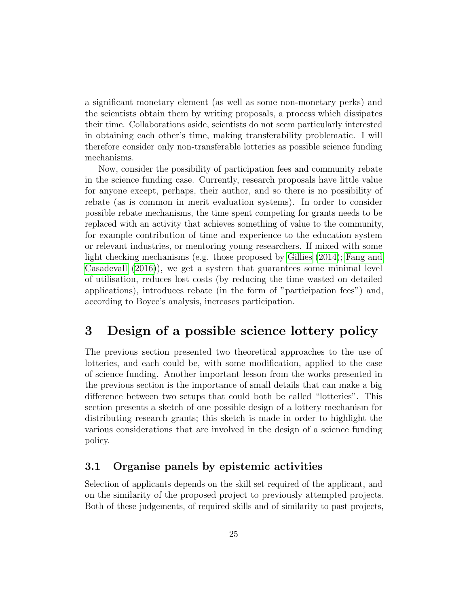a significant monetary element (as well as some non-monetary perks) and the scientists obtain them by writing proposals, a process which dissipates their time. Collaborations aside, scientists do not seem particularly interested in obtaining each other's time, making transferability problematic. I will therefore consider only non-transferable lotteries as possible science funding mechanisms.

Now, consider the possibility of participation fees and community rebate in the science funding case. Currently, research proposals have little value for anyone except, perhaps, their author, and so there is no possibility of rebate (as is common in merit evaluation systems). In order to consider possible rebate mechanisms, the time spent competing for grants needs to be replaced with an activity that achieves something of value to the community, for example contribution of time and experience to the education system or relevant industries, or mentoring young researchers. If mixed with some light checking mechanisms (e.g. those proposed by [Gillies](#page-36-0) [\(2014\)](#page-36-0); [Fang and](#page-35-0) [Casadevall](#page-35-0) [\(2016\)](#page-35-0)), we get a system that guarantees some minimal level of utilisation, reduces lost costs (by reducing the time wasted on detailed applications), introduces rebate (in the form of "participation fees") and, according to Boyce's analysis, increases participation.

# <span id="page-24-0"></span>3 Design of a possible science lottery policy

The previous section presented two theoretical approaches to the use of lotteries, and each could be, with some modification, applied to the case of science funding. Another important lesson from the works presented in the previous section is the importance of small details that can make a big difference between two setups that could both be called "lotteries". This section presents a sketch of one possible design of a lottery mechanism for distributing research grants; this sketch is made in order to highlight the various considerations that are involved in the design of a science funding policy.

### 3.1 Organise panels by epistemic activities

Selection of applicants depends on the skill set required of the applicant, and on the similarity of the proposed project to previously attempted projects. Both of these judgements, of required skills and of similarity to past projects,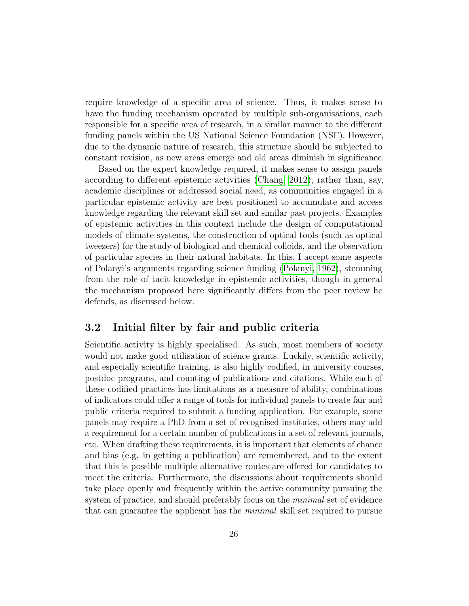require knowledge of a specific area of science. Thus, it makes sense to have the funding mechanism operated by multiple sub-organisations, each responsible for a specific area of research, in a similar manner to the different funding panels within the US National Science Foundation (NSF). However, due to the dynamic nature of research, this structure should be subjected to constant revision, as new areas emerge and old areas diminish in significance.

Based on the expert knowledge required, it makes sense to assign panels according to different epistemic activities [\(Chang, 2012\)](#page-34-10), rather than, say, academic disciplines or addressed social need, as communities engaged in a particular epistemic activity are best positioned to accumulate and access knowledge regarding the relevant skill set and similar past projects. Examples of epistemic activities in this context include the design of computational models of climate systems, the construction of optical tools (such as optical tweezers) for the study of biological and chemical colloids, and the observation of particular species in their natural habitats. In this, I accept some aspects of Polanyi's arguments regarding science funding [\(Polanyi, 1962\)](#page-37-2), stemming from the role of tacit knowledge in epistemic activities, though in general the mechanism proposed here significantly differs from the peer review he defends, as discussed below.

### 3.2 Initial filter by fair and public criteria

Scientific activity is highly specialised. As such, most members of society would not make good utilisation of science grants. Luckily, scientific activity, and especially scientific training, is also highly codified, in university courses, postdoc programs, and counting of publications and citations. While each of these codified practices has limitations as a measure of ability, combinations of indicators could offer a range of tools for individual panels to create fair and public criteria required to submit a funding application. For example, some panels may require a PhD from a set of recognised institutes, others may add a requirement for a certain number of publications in a set of relevant journals, etc. When drafting these requirements, it is important that elements of chance and bias (e.g. in getting a publication) are remembered, and to the extent that this is possible multiple alternative routes are offered for candidates to meet the criteria. Furthermore, the discussions about requirements should take place openly and frequently within the active community pursuing the system of practice, and should preferably focus on the *minimal* set of evidence that can guarantee the applicant has the minimal skill set required to pursue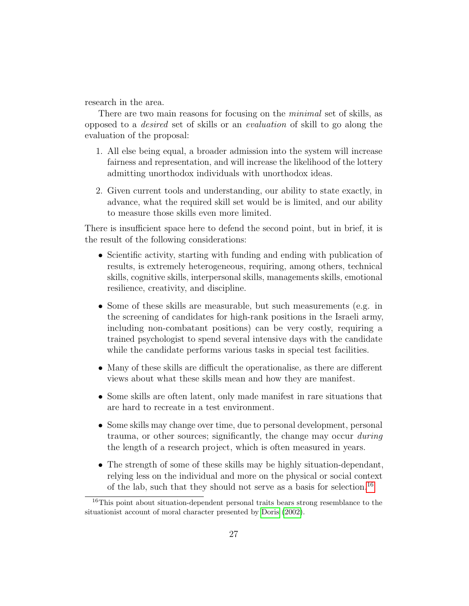research in the area.

There are two main reasons for focusing on the *minimal* set of skills, as opposed to a desired set of skills or an evaluation of skill to go along the evaluation of the proposal:

- 1. All else being equal, a broader admission into the system will increase fairness and representation, and will increase the likelihood of the lottery admitting unorthodox individuals with unorthodox ideas.
- 2. Given current tools and understanding, our ability to state exactly, in advance, what the required skill set would be is limited, and our ability to measure those skills even more limited.

There is insufficient space here to defend the second point, but in brief, it is the result of the following considerations:

- Scientific activity, starting with funding and ending with publication of results, is extremely heterogeneous, requiring, among others, technical skills, cognitive skills, interpersonal skills, managements skills, emotional resilience, creativity, and discipline.
- Some of these skills are measurable, but such measurements (e.g. in the screening of candidates for high-rank positions in the Israeli army, including non-combatant positions) can be very costly, requiring a trained psychologist to spend several intensive days with the candidate while the candidate performs various tasks in special test facilities.
- Many of these skills are difficult the operationalise, as there are different views about what these skills mean and how they are manifest.
- Some skills are often latent, only made manifest in rare situations that are hard to recreate in a test environment.
- Some skills may change over time, due to personal development, personal trauma, or other sources; significantly, the change may occur *during* the length of a research project, which is often measured in years.
- The strength of some of these skills may be highly situation-dependant, relying less on the individual and more on the physical or social context of the lab, such that they should not serve as a basis for selection.[16](#page-26-0)

<span id="page-26-0"></span><sup>&</sup>lt;sup>16</sup>This point about situation-dependent personal traits bears strong resemblance to the situationist account of moral character presented by [Doris](#page-35-12) [\(2002\)](#page-35-12).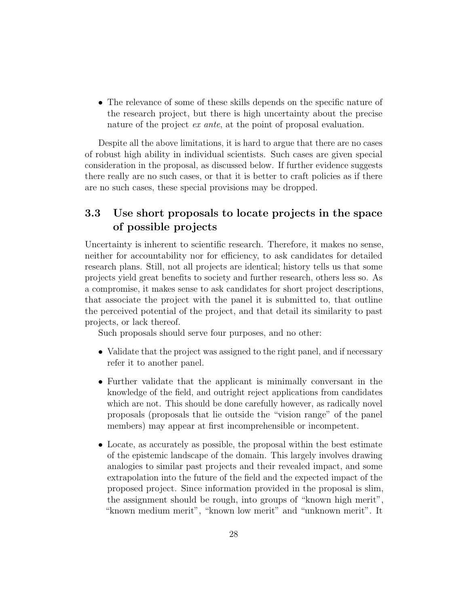• The relevance of some of these skills depends on the specific nature of the research project, but there is high uncertainty about the precise nature of the project *ex ante*, at the point of proposal evaluation.

Despite all the above limitations, it is hard to argue that there are no cases of robust high ability in individual scientists. Such cases are given special consideration in the proposal, as discussed below. If further evidence suggests there really are no such cases, or that it is better to craft policies as if there are no such cases, these special provisions may be dropped.

## 3.3 Use short proposals to locate projects in the space of possible projects

Uncertainty is inherent to scientific research. Therefore, it makes no sense, neither for accountability nor for efficiency, to ask candidates for detailed research plans. Still, not all projects are identical; history tells us that some projects yield great benefits to society and further research, others less so. As a compromise, it makes sense to ask candidates for short project descriptions, that associate the project with the panel it is submitted to, that outline the perceived potential of the project, and that detail its similarity to past projects, or lack thereof.

Such proposals should serve four purposes, and no other:

- Validate that the project was assigned to the right panel, and if necessary refer it to another panel.
- Further validate that the applicant is minimally conversant in the knowledge of the field, and outright reject applications from candidates which are not. This should be done carefully however, as radically novel proposals (proposals that lie outside the "vision range" of the panel members) may appear at first incomprehensible or incompetent.
- Locate, as accurately as possible, the proposal within the best estimate of the epistemic landscape of the domain. This largely involves drawing analogies to similar past projects and their revealed impact, and some extrapolation into the future of the field and the expected impact of the proposed project. Since information provided in the proposal is slim, the assignment should be rough, into groups of "known high merit", "known medium merit", "known low merit" and "unknown merit". It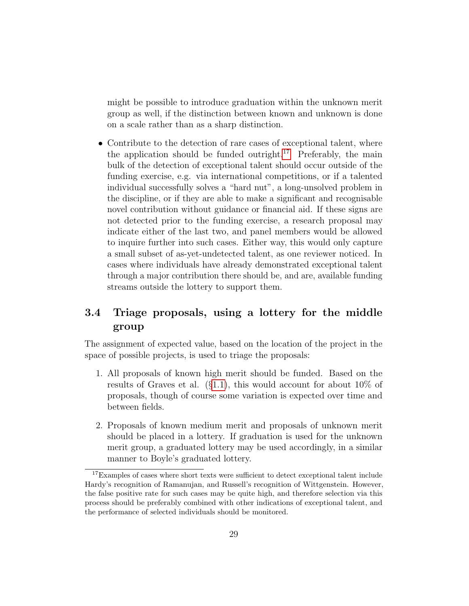might be possible to introduce graduation within the unknown merit group as well, if the distinction between known and unknown is done on a scale rather than as a sharp distinction.

• Contribute to the detection of rare cases of exceptional talent, where the application should be funded outright.<sup>[17](#page-28-0)</sup> Preferably, the main bulk of the detection of exceptional talent should occur outside of the funding exercise, e.g. via international competitions, or if a talented individual successfully solves a "hard nut", a long-unsolved problem in the discipline, or if they are able to make a significant and recognisable novel contribution without guidance or financial aid. If these signs are not detected prior to the funding exercise, a research proposal may indicate either of the last two, and panel members would be allowed to inquire further into such cases. Either way, this would only capture a small subset of as-yet-undetected talent, as one reviewer noticed. In cases where individuals have already demonstrated exceptional talent through a major contribution there should be, and are, available funding streams outside the lottery to support them.

## 3.4 Triage proposals, using a lottery for the middle group

The assignment of expected value, based on the location of the project in the space of possible projects, is used to triage the proposals:

- 1. All proposals of known high merit should be funded. Based on the results of Graves et al. (§[1.1\)](#page-2-2), this would account for about 10% of proposals, though of course some variation is expected over time and between fields.
- 2. Proposals of known medium merit and proposals of unknown merit should be placed in a lottery. If graduation is used for the unknown merit group, a graduated lottery may be used accordingly, in a similar manner to Boyle's graduated lottery.

<span id="page-28-0"></span> $^{17}\rm{Examples}$  of cases where short texts were sufficient to detect exceptional talent include Hardy's recognition of Ramanujan, and Russell's recognition of Wittgenstein. However, the false positive rate for such cases may be quite high, and therefore selection via this process should be preferably combined with other indications of exceptional talent, and the performance of selected individuals should be monitored.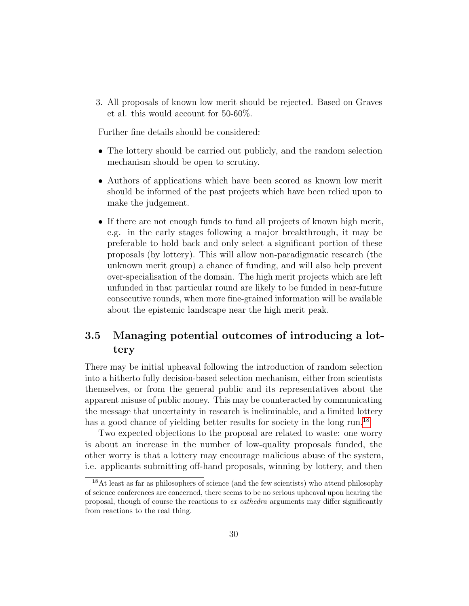3. All proposals of known low merit should be rejected. Based on Graves et al. this would account for 50-60%.

Further fine details should be considered:

- The lottery should be carried out publicly, and the random selection mechanism should be open to scrutiny.
- Authors of applications which have been scored as known low merit should be informed of the past projects which have been relied upon to make the judgement.
- If there are not enough funds to fund all projects of known high merit, e.g. in the early stages following a major breakthrough, it may be preferable to hold back and only select a significant portion of these proposals (by lottery). This will allow non-paradigmatic research (the unknown merit group) a chance of funding, and will also help prevent over-specialisation of the domain. The high merit projects which are left unfunded in that particular round are likely to be funded in near-future consecutive rounds, when more fine-grained information will be available about the epistemic landscape near the high merit peak.

## 3.5 Managing potential outcomes of introducing a lottery

There may be initial upheaval following the introduction of random selection into a hitherto fully decision-based selection mechanism, either from scientists themselves, or from the general public and its representatives about the apparent misuse of public money. This may be counteracted by communicating the message that uncertainty in research is ineliminable, and a limited lottery has a good chance of yielding better results for society in the long run.<sup>[18](#page-29-0)</sup>

Two expected objections to the proposal are related to waste: one worry is about an increase in the number of low-quality proposals funded, the other worry is that a lottery may encourage malicious abuse of the system, i.e. applicants submitting off-hand proposals, winning by lottery, and then

<span id="page-29-0"></span><sup>18</sup>At least as far as philosophers of science (and the few scientists) who attend philosophy of science conferences are concerned, there seems to be no serious upheaval upon hearing the proposal, though of course the reactions to ex cathedra arguments may differ significantly from reactions to the real thing.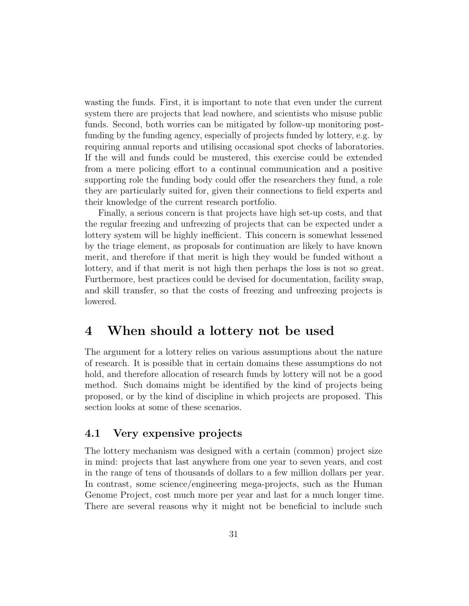wasting the funds. First, it is important to note that even under the current system there are projects that lead nowhere, and scientists who misuse public funds. Second, both worries can be mitigated by follow-up monitoring postfunding by the funding agency, especially of projects funded by lottery, e.g. by requiring annual reports and utilising occasional spot checks of laboratories. If the will and funds could be mustered, this exercise could be extended from a mere policing effort to a continual communication and a positive supporting role the funding body could offer the researchers they fund, a role they are particularly suited for, given their connections to field experts and their knowledge of the current research portfolio.

Finally, a serious concern is that projects have high set-up costs, and that the regular freezing and unfreezing of projects that can be expected under a lottery system will be highly inefficient. This concern is somewhat lessened by the triage element, as proposals for continuation are likely to have known merit, and therefore if that merit is high they would be funded without a lottery, and if that merit is not high then perhaps the loss is not so great. Furthermore, best practices could be devised for documentation, facility swap, and skill transfer, so that the costs of freezing and unfreezing projects is lowered.

# <span id="page-30-0"></span>4 When should a lottery not be used

The argument for a lottery relies on various assumptions about the nature of research. It is possible that in certain domains these assumptions do not hold, and therefore allocation of research funds by lottery will not be a good method. Such domains might be identified by the kind of projects being proposed, or by the kind of discipline in which projects are proposed. This section looks at some of these scenarios.

## 4.1 Very expensive projects

The lottery mechanism was designed with a certain (common) project size in mind: projects that last anywhere from one year to seven years, and cost in the range of tens of thousands of dollars to a few million dollars per year. In contrast, some science/engineering mega-projects, such as the Human Genome Project, cost much more per year and last for a much longer time. There are several reasons why it might not be beneficial to include such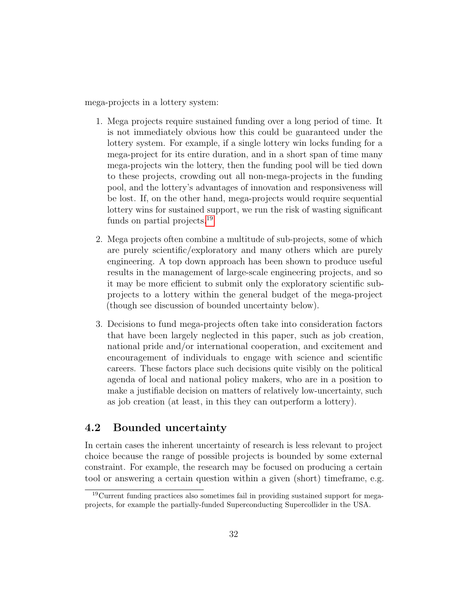mega-projects in a lottery system:

- 1. Mega projects require sustained funding over a long period of time. It is not immediately obvious how this could be guaranteed under the lottery system. For example, if a single lottery win locks funding for a mega-project for its entire duration, and in a short span of time many mega-projects win the lottery, then the funding pool will be tied down to these projects, crowding out all non-mega-projects in the funding pool, and the lottery's advantages of innovation and responsiveness will be lost. If, on the other hand, mega-projects would require sequential lottery wins for sustained support, we run the risk of wasting significant funds on partial projects.<sup>[19](#page-31-0)</sup>
- 2. Mega projects often combine a multitude of sub-projects, some of which are purely scientific/exploratory and many others which are purely engineering. A top down approach has been shown to produce useful results in the management of large-scale engineering projects, and so it may be more efficient to submit only the exploratory scientific subprojects to a lottery within the general budget of the mega-project (though see discussion of bounded uncertainty below).
- 3. Decisions to fund mega-projects often take into consideration factors that have been largely neglected in this paper, such as job creation, national pride and/or international cooperation, and excitement and encouragement of individuals to engage with science and scientific careers. These factors place such decisions quite visibly on the political agenda of local and national policy makers, who are in a position to make a justifiable decision on matters of relatively low-uncertainty, such as job creation (at least, in this they can outperform a lottery).

## 4.2 Bounded uncertainty

In certain cases the inherent uncertainty of research is less relevant to project choice because the range of possible projects is bounded by some external constraint. For example, the research may be focused on producing a certain tool or answering a certain question within a given (short) timeframe, e.g.

<span id="page-31-0"></span><sup>19</sup>Current funding practices also sometimes fail in providing sustained support for megaprojects, for example the partially-funded Superconducting Supercollider in the USA.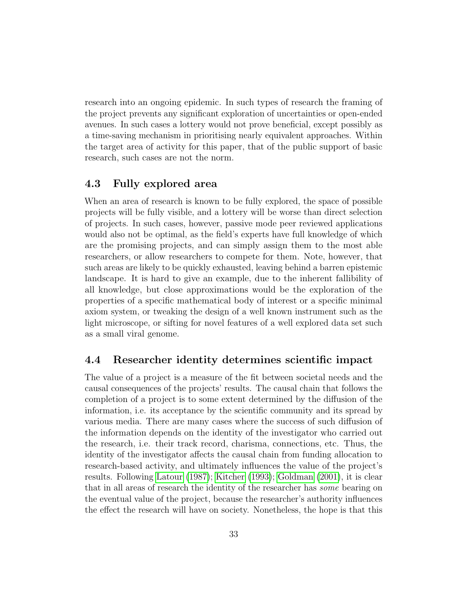research into an ongoing epidemic. In such types of research the framing of the project prevents any significant exploration of uncertainties or open-ended avenues. In such cases a lottery would not prove beneficial, except possibly as a time-saving mechanism in prioritising nearly equivalent approaches. Within the target area of activity for this paper, that of the public support of basic research, such cases are not the norm.

### 4.3 Fully explored area

When an area of research is known to be fully explored, the space of possible projects will be fully visible, and a lottery will be worse than direct selection of projects. In such cases, however, passive mode peer reviewed applications would also not be optimal, as the field's experts have full knowledge of which are the promising projects, and can simply assign them to the most able researchers, or allow researchers to compete for them. Note, however, that such areas are likely to be quickly exhausted, leaving behind a barren epistemic landscape. It is hard to give an example, due to the inherent fallibility of all knowledge, but close approximations would be the exploration of the properties of a specific mathematical body of interest or a specific minimal axiom system, or tweaking the design of a well known instrument such as the light microscope, or sifting for novel features of a well explored data set such as a small viral genome.

### 4.4 Researcher identity determines scientific impact

The value of a project is a measure of the fit between societal needs and the causal consequences of the projects' results. The causal chain that follows the completion of a project is to some extent determined by the diffusion of the information, i.e. its acceptance by the scientific community and its spread by various media. There are many cases where the success of such diffusion of the information depends on the identity of the investigator who carried out the research, i.e. their track record, charisma, connections, etc. Thus, the identity of the investigator affects the causal chain from funding allocation to research-based activity, and ultimately influences the value of the project's results. Following [Latour](#page-37-10) [\(1987\)](#page-37-10); [Kitcher](#page-37-11) [\(1993\)](#page-37-11); [Goldman](#page-36-10) [\(2001\)](#page-36-10), it is clear that in all areas of research the identity of the researcher has some bearing on the eventual value of the project, because the researcher's authority influences the effect the research will have on society. Nonetheless, the hope is that this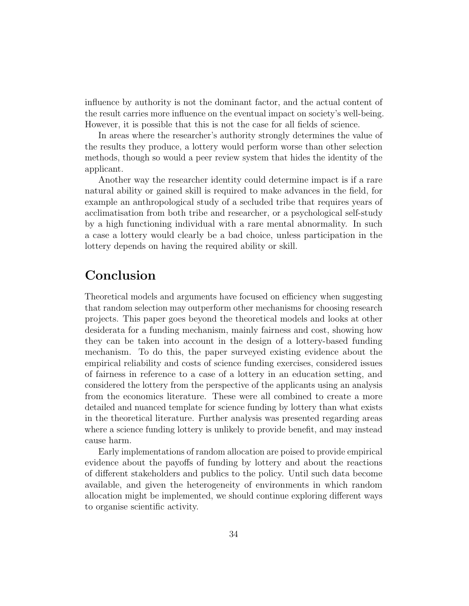influence by authority is not the dominant factor, and the actual content of the result carries more influence on the eventual impact on society's well-being. However, it is possible that this is not the case for all fields of science.

In areas where the researcher's authority strongly determines the value of the results they produce, a lottery would perform worse than other selection methods, though so would a peer review system that hides the identity of the applicant.

Another way the researcher identity could determine impact is if a rare natural ability or gained skill is required to make advances in the field, for example an anthropological study of a secluded tribe that requires years of acclimatisation from both tribe and researcher, or a psychological self-study by a high functioning individual with a rare mental abnormality. In such a case a lottery would clearly be a bad choice, unless participation in the lottery depends on having the required ability or skill.

# Conclusion

Theoretical models and arguments have focused on efficiency when suggesting that random selection may outperform other mechanisms for choosing research projects. This paper goes beyond the theoretical models and looks at other desiderata for a funding mechanism, mainly fairness and cost, showing how they can be taken into account in the design of a lottery-based funding mechanism. To do this, the paper surveyed existing evidence about the empirical reliability and costs of science funding exercises, considered issues of fairness in reference to a case of a lottery in an education setting, and considered the lottery from the perspective of the applicants using an analysis from the economics literature. These were all combined to create a more detailed and nuanced template for science funding by lottery than what exists in the theoretical literature. Further analysis was presented regarding areas where a science funding lottery is unlikely to provide benefit, and may instead cause harm.

Early implementations of random allocation are poised to provide empirical evidence about the payoffs of funding by lottery and about the reactions of different stakeholders and publics to the policy. Until such data become available, and given the heterogeneity of environments in which random allocation might be implemented, we should continue exploring different ways to organise scientific activity.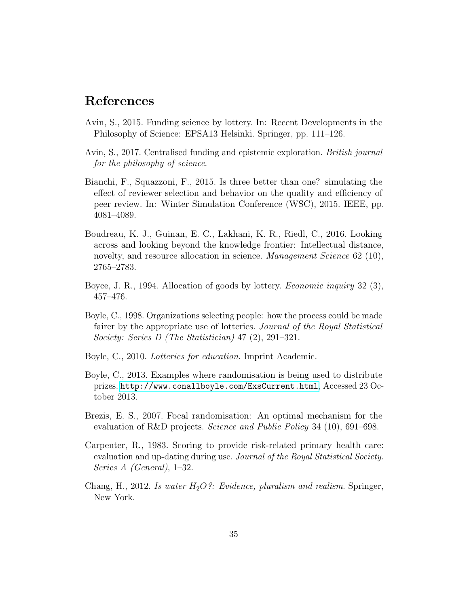## References

- <span id="page-34-0"></span>Avin, S., 2015. Funding science by lottery. In: Recent Developments in the Philosophy of Science: EPSA13 Helsinki. Springer, pp. 111–126.
- <span id="page-34-2"></span>Avin, S., 2017. Centralised funding and epistemic exploration. British journal for the philosophy of science.
- <span id="page-34-3"></span>Bianchi, F., Squazzoni, F., 2015. Is three better than one? simulating the effect of reviewer selection and behavior on the quality and efficiency of peer review. In: Winter Simulation Conference (WSC), 2015. IEEE, pp. 4081–4089.
- <span id="page-34-4"></span>Boudreau, K. J., Guinan, E. C., Lakhani, K. R., Riedl, C., 2016. Looking across and looking beyond the knowledge frontier: Intellectual distance, novelty, and resource allocation in science. *Management Science* 62 (10), 2765–2783.
- <span id="page-34-9"></span>Boyce, J. R., 1994. Allocation of goods by lottery. Economic inquiry 32 (3), 457–476.
- <span id="page-34-7"></span>Boyle, C., 1998. Organizations selecting people: how the process could be made fairer by the appropriate use of lotteries. Journal of the Royal Statistical Society: Series D (The Statistician) 47 (2), 291–321.
- <span id="page-34-6"></span>Boyle, C., 2010. Lotteries for education. Imprint Academic.
- <span id="page-34-5"></span>Boyle, C., 2013. Examples where randomisation is being used to distribute prizes. <http://www.conallboyle.com/ExsCurrent.html>, Accessed 23 October 2013.
- <span id="page-34-1"></span>Brezis, E. S., 2007. Focal randomisation: An optimal mechanism for the evaluation of R&D projects. Science and Public Policy 34 (10), 691–698.
- <span id="page-34-8"></span>Carpenter, R., 1983. Scoring to provide risk-related primary health care: evaluation and up-dating during use. Journal of the Royal Statistical Society. Series A (General), 1–32.
- <span id="page-34-10"></span>Chang, H., 2012. Is water  $H_2O$ ?: Evidence, pluralism and realism. Springer, New York.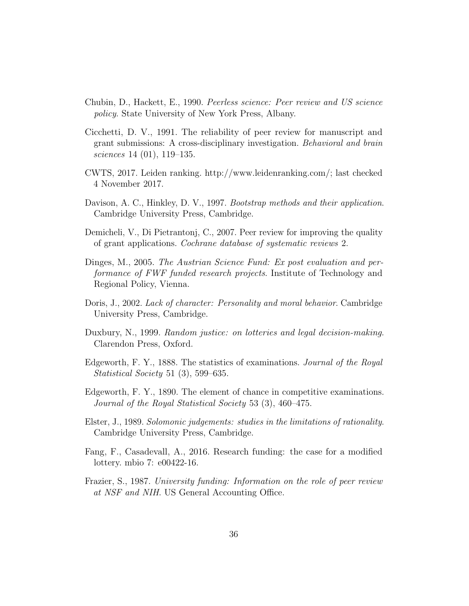- <span id="page-35-4"></span>Chubin, D., Hackett, E., 1990. Peerless science: Peer review and US science policy. State University of New York Press, Albany.
- <span id="page-35-6"></span>Cicchetti, D. V., 1991. The reliability of peer review for manuscript and grant submissions: A cross-disciplinary investigation. Behavioral and brain sciences 14 (01), 119–135.
- <span id="page-35-5"></span>CWTS, 2017. Leiden ranking. http://www.leidenranking.com/; last checked 4 November 2017.
- <span id="page-35-7"></span>Davison, A. C., Hinkley, D. V., 1997. Bootstrap methods and their application. Cambridge University Press, Cambridge.
- <span id="page-35-1"></span>Demicheli, V., Di Pietrantonj, C., 2007. Peer review for improving the quality of grant applications. Cochrane database of systematic reviews 2.
- <span id="page-35-2"></span>Dinges, M., 2005. The Austrian Science Fund: Ex post evaluation and performance of FWF funded research projects. Institute of Technology and Regional Policy, Vienna.
- <span id="page-35-12"></span>Doris, J., 2002. Lack of character: Personality and moral behavior. Cambridge University Press, Cambridge.
- <span id="page-35-8"></span>Duxbury, N., 1999. Random justice: on lotteries and legal decision-making. Clarendon Press, Oxford.
- <span id="page-35-9"></span>Edgeworth, F. Y., 1888. The statistics of examinations. Journal of the Royal Statistical Society 51 (3), 599–635.
- <span id="page-35-10"></span>Edgeworth, F. Y., 1890. The element of chance in competitive examinations. Journal of the Royal Statistical Society 53 (3), 460–475.
- <span id="page-35-11"></span>Elster, J., 1989. Solomonic judgements: studies in the limitations of rationality. Cambridge University Press, Cambridge.
- <span id="page-35-0"></span>Fang, F., Casadevall, A., 2016. Research funding: the case for a modified lottery. mbio 7: e00422-16.
- <span id="page-35-3"></span>Frazier, S., 1987. University funding: Information on the role of peer review at NSF and NIH. US General Accounting Office.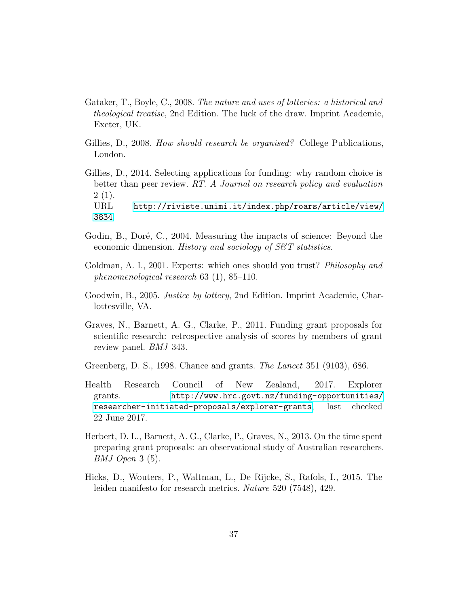- <span id="page-36-8"></span>Gataker, T., Boyle, C., 2008. The nature and uses of lotteries: a historical and theological treatise, 2nd Edition. The luck of the draw. Imprint Academic, Exeter, UK.
- <span id="page-36-4"></span>Gillies, D., 2008. How should research be organised? College Publications, London.
- <span id="page-36-0"></span>Gillies, D., 2014. Selecting applications for funding: why random choice is better than peer review. RT. A Journal on research policy and evaluation  $2(1).$ URL [http://riviste.unimi.it/index.php/roars/article/view/](http://riviste.unimi.it/index.php/roars/article/view/3834) [3834](http://riviste.unimi.it/index.php/roars/article/view/3834)
- <span id="page-36-5"></span>Godin, B., Doré, C., 2004. Measuring the impacts of science: Beyond the economic dimension. *History and sociology of S&T statistics*.
- <span id="page-36-10"></span>Goldman, A. I., 2001. Experts: which ones should you trust? *Philosophy and* phenomenological research 63 (1), 85–110.
- <span id="page-36-9"></span>Goodwin, B., 2005. Justice by lottery, 2nd Edition. Imprint Academic, Charlottesville, VA.
- <span id="page-36-2"></span>Graves, N., Barnett, A. G., Clarke, P., 2011. Funding grant proposals for scientific research: retrospective analysis of scores by members of grant review panel. BMJ 343.
- <span id="page-36-1"></span>Greenberg, D. S., 1998. Chance and grants. The Lancet 351 (9103), 686.
- <span id="page-36-3"></span>Health Research Council of New Zealand, 2017. Explorer grants. [http://www.hrc.govt.nz/funding-opportunities/](http://www.hrc.govt.nz/funding-opportunities/researcher-initiated-proposals/explorer-grants) [researcher-initiated-proposals/explorer-grants](http://www.hrc.govt.nz/funding-opportunities/researcher-initiated-proposals/explorer-grants), last checked 22 June 2017.
- <span id="page-36-7"></span>Herbert, D. L., Barnett, A. G., Clarke, P., Graves, N., 2013. On the time spent preparing grant proposals: an observational study of Australian researchers. BMJ Open 3 (5).
- <span id="page-36-6"></span>Hicks, D., Wouters, P., Waltman, L., De Rijcke, S., Rafols, I., 2015. The leiden manifesto for research metrics. Nature 520 (7548), 429.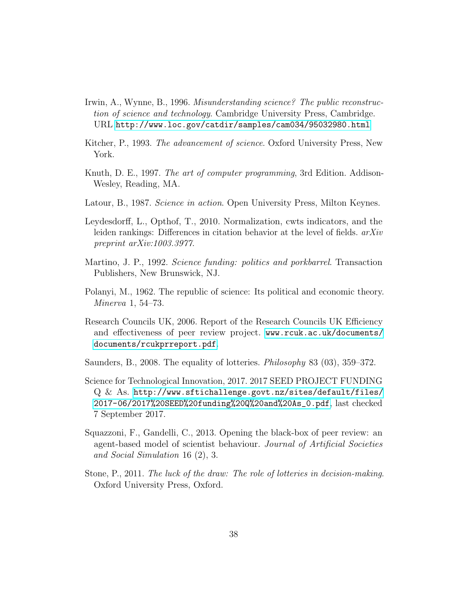- <span id="page-37-9"></span>Irwin, A., Wynne, B., 1996. Misunderstanding science? The public reconstruction of science and technology. Cambridge University Press, Cambridge. URL <http://www.loc.gov/catdir/samples/cam034/95032980.html>
- <span id="page-37-11"></span>Kitcher, P., 1993. The advancement of science. Oxford University Press, New York.
- <span id="page-37-6"></span>Knuth, D. E., 1997. The art of computer programming, 3rd Edition. Addison-Wesley, Reading, MA.
- <span id="page-37-10"></span>Latour, B., 1987. Science in action. Open University Press, Milton Keynes.
- <span id="page-37-5"></span>Leydesdorff, L., Opthof, T., 2010. Normalization, cwts indicators, and the leiden rankings: Differences in citation behavior at the level of fields. arXiv preprint arXiv:1003.3977.
- <span id="page-37-4"></span>Martino, J. P., 1992. Science funding: politics and porkbarrel. Transaction Publishers, New Brunswick, NJ.
- <span id="page-37-2"></span>Polanyi, M., 1962. The republic of science: Its political and economic theory. Minerva 1, 54–73.
- <span id="page-37-3"></span>Research Councils UK, 2006. Report of the Research Councils UK Efficiency and effectiveness of peer review project. [www.rcuk.ac.uk/documents/](www.rcuk.ac.uk/documents/documents/rcukprreport.pdf) [documents/rcukprreport.pdf](www.rcuk.ac.uk/documents/documents/rcukprreport.pdf).
- <span id="page-37-8"></span>Saunders, B., 2008. The equality of lotteries. Philosophy 83 (03), 359–372.
- <span id="page-37-0"></span>Science for Technological Innovation, 2017. 2017 SEED PROJECT FUNDING Q & As. [http://www.sftichallenge.govt.nz/sites/default/files/](http://www.sftichallenge.govt.nz/sites/default/files/2017-06/2017%20SEED%20funding%20Q%20and%20As_0.pdf) [2017-06/2017%20SEED%20funding%20Q%20and%20As\\_0.pdf](http://www.sftichallenge.govt.nz/sites/default/files/2017-06/2017%20SEED%20funding%20Q%20and%20As_0.pdf), last checked 7 September 2017.
- <span id="page-37-1"></span>Squazzoni, F., Gandelli, C., 2013. Opening the black-box of peer review: an agent-based model of scientist behaviour. Journal of Artificial Societies and Social Simulation 16 (2), 3.
- <span id="page-37-7"></span>Stone, P., 2011. The luck of the draw: The role of lotteries in decision-making. Oxford University Press, Oxford.